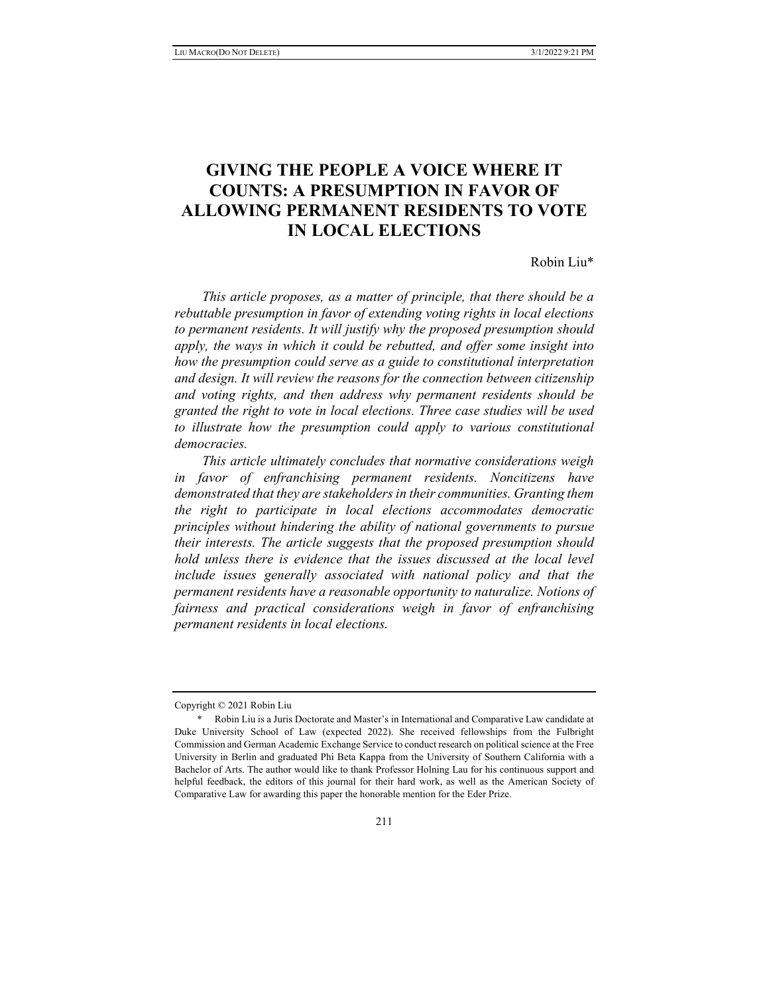# **GIVING THE PEOPLE A VOICE WHERE IT COUNTS: A PRESUMPTION IN FAVOR OF ALLOWING PERMANENT RESIDENTS TO VOTE IN LOCAL ELECTIONS**

Robin Liu\*

*This article proposes, as a matter of principle, that there should be a rebuttable presumption in favor of extending voting rights in local elections to permanent residents. It will justify why the proposed presumption should apply, the ways in which it could be rebutted, and offer some insight into how the presumption could serve as a guide to constitutional interpretation and design. It will review the reasons for the connection between citizenship and voting rights, and then address why permanent residents should be granted the right to vote in local elections. Three case studies will be used to illustrate how the presumption could apply to various constitutional democracies.* 

*This article ultimately concludes that normative considerations weigh in favor of enfranchising permanent residents. Noncitizens have demonstrated that they are stakeholders in their communities. Granting them the right to participate in local elections accommodates democratic principles without hindering the ability of national governments to pursue their interests. The article suggests that the proposed presumption should hold unless there is evidence that the issues discussed at the local level include issues generally associated with national policy and that the permanent residents have a reasonable opportunity to naturalize. Notions of fairness and practical considerations weigh in favor of enfranchising permanent residents in local elections.* 

Copyright © 2021 Robin Liu

 <sup>\*</sup> Robin Liu is a Juris Doctorate and Master's in International and Comparative Law candidate at Duke University School of Law (expected 2022). She received fellowships from the Fulbright Commission and German Academic Exchange Service to conduct research on political science at the Free University in Berlin and graduated Phi Beta Kappa from the University of Southern California with a Bachelor of Arts. The author would like to thank Professor Holning Lau for his continuous support and helpful feedback, the editors of this journal for their hard work, as well as the American Society of Comparative Law for awarding this paper the honorable mention for the Eder Prize.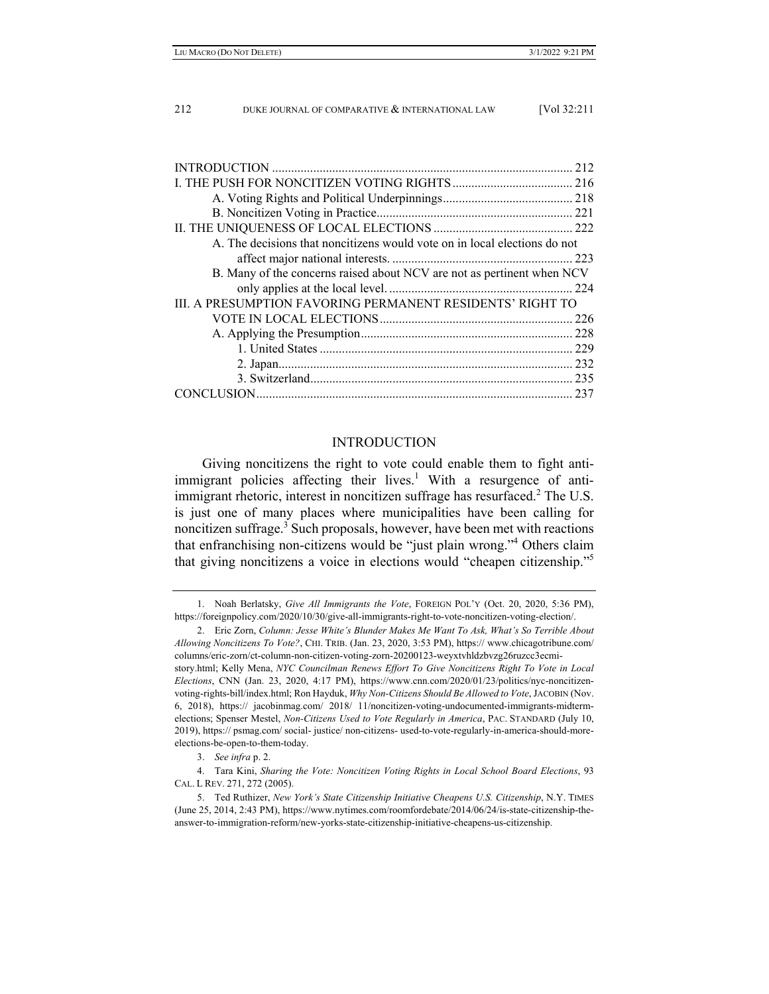| 212                                                                       |
|---------------------------------------------------------------------------|
|                                                                           |
|                                                                           |
|                                                                           |
|                                                                           |
| A. The decisions that noncitizens would vote on in local elections do not |
|                                                                           |
| B. Many of the concerns raised about NCV are not as pertinent when NCV    |
|                                                                           |
| III. A PRESUMPTION FAVORING PERMANENT RESIDENTS' RIGHT TO                 |
|                                                                           |
|                                                                           |
|                                                                           |
|                                                                           |
|                                                                           |
|                                                                           |
|                                                                           |

# INTRODUCTION

Giving noncitizens the right to vote could enable them to fight antiimmigrant policies affecting their lives.<sup>1</sup> With a resurgence of antiimmigrant rhetoric, interest in noncitizen suffrage has resurfaced.<sup>2</sup> The U.S. is just one of many places where municipalities have been calling for noncitizen suffrage.<sup>3</sup> Such proposals, however, have been met with reactions that enfranchising non-citizens would be "just plain wrong."4 Others claim that giving noncitizens a voice in elections would "cheapen citizenship."5

3. *See infra* p. 2.

 4. Tara Kini, *Sharing the Vote: Noncitizen Voting Rights in Local School Board Elections*, 93 CAL. L REV. 271, 272 (2005).

 <sup>1.</sup> Noah Berlatsky, *Give All Immigrants the Vote*, FOREIGN POL'Y (Oct. 20, 2020, 5:36 PM), https://foreignpolicy.com/2020/10/30/give-all-immigrants-right-to-vote-noncitizen-voting-election/.

 <sup>2.</sup> Eric Zorn, *Column: Jesse White's Blunder Makes Me Want To Ask, What's So Terrible About Allowing Noncitizens To Vote?*, CHI. TRIB. (Jan. 23, 2020, 3:53 PM), https:// www.chicagotribune.com/ columns/eric-zorn/ct-column-non-citizen-voting-zorn-20200123-weyxtvhldzbvzg26ruzcc3ecmistory.html; Kelly Mena, *NYC Councilman Renews Effort To Give Noncitizens Right To Vote in Local Elections*, CNN (Jan. 23, 2020, 4:17 PM), https://www.cnn.com/2020/01/23/politics/nyc-noncitizenvoting-rights-bill/index.html; Ron Hayduk, *Why Non-Citizens Should Be Allowed to Vote*, JACOBIN (Nov. 6, 2018), https:// jacobinmag.com/ 2018/ 11/noncitizen-voting-undocumented-immigrants-midtermelections; Spenser Mestel, *Non-Citizens Used to Vote Regularly in America*, PAC. STANDARD (July 10, 2019), https:// psmag.com/ social- justice/ non-citizens- used-to-vote-regularly-in-america-should-moreelections-be-open-to-them-today.

 <sup>5.</sup> Ted Ruthizer, *New York's State Citizenship Initiative Cheapens U.S. Citizenship*, N.Y. TIMES (June 25, 2014, 2:43 PM), https://www.nytimes.com/roomfordebate/2014/06/24/is-state-citizenship-theanswer-to-immigration-reform/new-yorks-state-citizenship-initiative-cheapens-us-citizenship.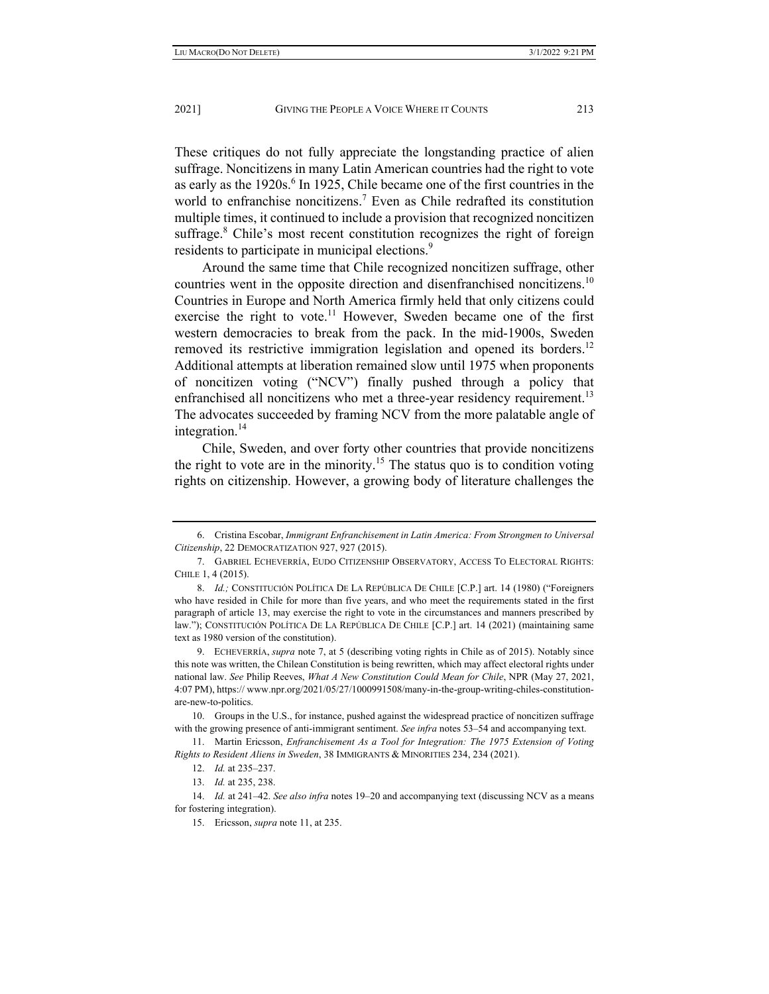These critiques do not fully appreciate the longstanding practice of alien suffrage. Noncitizens in many Latin American countries had the right to vote as early as the 1920s.<sup>6</sup> In 1925, Chile became one of the first countries in the world to enfranchise noncitizens.<sup>7</sup> Even as Chile redrafted its constitution multiple times, it continued to include a provision that recognized noncitizen suffrage.<sup>8</sup> Chile's most recent constitution recognizes the right of foreign residents to participate in municipal elections.<sup>9</sup>

Around the same time that Chile recognized noncitizen suffrage, other countries went in the opposite direction and disenfranchised noncitizens.<sup>10</sup> Countries in Europe and North America firmly held that only citizens could exercise the right to vote.<sup>11</sup> However, Sweden became one of the first western democracies to break from the pack. In the mid-1900s, Sweden removed its restrictive immigration legislation and opened its borders.<sup>12</sup> Additional attempts at liberation remained slow until 1975 when proponents of noncitizen voting ("NCV") finally pushed through a policy that enfranchised all noncitizens who met a three-year residency requirement.<sup>13</sup> The advocates succeeded by framing NCV from the more palatable angle of integration. $14$ 

Chile, Sweden, and over forty other countries that provide noncitizens the right to vote are in the minority.<sup>15</sup> The status quo is to condition voting rights on citizenship. However, a growing body of literature challenges the

 <sup>6.</sup> Cristina Escobar, *Immigrant Enfranchisement in Latin America: From Strongmen to Universal Citizenship*, 22 DEMOCRATIZATION 927, 927 (2015).

 <sup>7.</sup> GABRIEL ECHEVERRÍA, EUDO CITIZENSHIP OBSERVATORY, ACCESS TO ELECTORAL RIGHTS: CHILE 1, 4 (2015).

<sup>8.</sup> *Id.*; CONSTITUCIÓN POLÍTICA DE LA REPÚBLICA DE CHILE [C.P.] art. 14 (1980) ("Foreigners who have resided in Chile for more than five years, and who meet the requirements stated in the first paragraph of article 13, may exercise the right to vote in the circumstances and manners prescribed by law."); CONSTITUCIÓN POLÍTICA DE LA REPÚBLICA DE CHILE [C.P.] art. 14 (2021) (maintaining same text as 1980 version of the constitution).

 <sup>9.</sup> ECHEVERRÍA, *supra* note 7, at 5 (describing voting rights in Chile as of 2015). Notably since this note was written, the Chilean Constitution is being rewritten, which may affect electoral rights under national law. *See* Philip Reeves, *What A New Constitution Could Mean for Chile*, NPR (May 27, 2021, 4:07 PM), https:// www.npr.org/2021/05/27/1000991508/many-in-the-group-writing-chiles-constitutionare-new-to-politics.

 <sup>10.</sup> Groups in the U.S., for instance, pushed against the widespread practice of noncitizen suffrage with the growing presence of anti-immigrant sentiment. *See infra* notes 53–54 and accompanying text.

 <sup>11.</sup> Martin Ericsson, *Enfranchisement As a Tool for Integration: The 1975 Extension of Voting Rights to Resident Aliens in Sweden*, 38 IMMIGRANTS & MINORITIES 234, 234 (2021).

 <sup>12.</sup> *Id.* at 235–237.

 <sup>13.</sup> *Id.* at 235, 238.

 <sup>14.</sup> *Id.* at 241–42. *See also infra* notes 19–20 and accompanying text (discussing NCV as a means for fostering integration).

 <sup>15.</sup> Ericsson, *supra* note 11, at 235.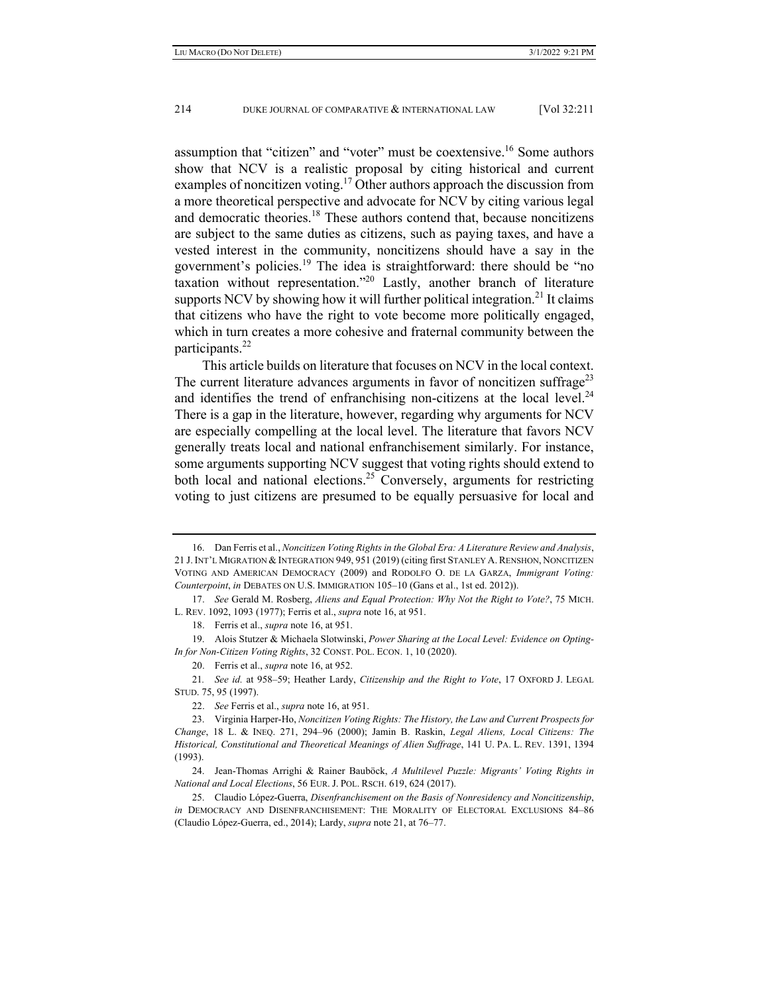assumption that "citizen" and "voter" must be coextensive.16 Some authors show that NCV is a realistic proposal by citing historical and current examples of noncitizen voting.<sup>17</sup> Other authors approach the discussion from a more theoretical perspective and advocate for NCV by citing various legal and democratic theories. $18$  These authors contend that, because noncitizens are subject to the same duties as citizens, such as paying taxes, and have a vested interest in the community, noncitizens should have a say in the government's policies.<sup>19</sup> The idea is straightforward: there should be "no taxation without representation."20 Lastly, another branch of literature supports NCV by showing how it will further political integration.<sup>21</sup> It claims that citizens who have the right to vote become more politically engaged, which in turn creates a more cohesive and fraternal community between the participants.<sup>22</sup>

This article builds on literature that focuses on NCV in the local context. The current literature advances arguments in favor of noncitizen suffrage<sup>23</sup> and identifies the trend of enfranchising non-citizens at the local level.<sup>24</sup> There is a gap in the literature, however, regarding why arguments for NCV are especially compelling at the local level. The literature that favors NCV generally treats local and national enfranchisement similarly. For instance, some arguments supporting NCV suggest that voting rights should extend to both local and national elections.<sup>25</sup> Conversely, arguments for restricting voting to just citizens are presumed to be equally persuasive for local and

 <sup>16.</sup> Dan Ferris et al., *Noncitizen Voting Rights in the Global Era: A Literature Review and Analysis*, 21 J. INT'L MIGRATION & INTEGRATION 949, 951 (2019) (citing first STANLEY A. RENSHON, NONCITIZEN VOTING AND AMERICAN DEMOCRACY (2009) and RODOLFO O. DE LA GARZA, *Immigrant Voting: Counterpoint*, *in* DEBATES ON U.S. IMMIGRATION 105–10 (Gans et al., 1st ed. 2012)).

 <sup>17.</sup> *See* Gerald M. Rosberg, *Aliens and Equal Protection: Why Not the Right to Vote?*, 75 MICH. L. REV. 1092, 1093 (1977); Ferris et al., *supra* note 16, at 951.

 <sup>18.</sup> Ferris et al., *supra* note 16, at 951.

 <sup>19.</sup> Alois Stutzer & Michaela Slotwinski, *Power Sharing at the Local Level: Evidence on Opting-In for Non-Citizen Voting Rights*, 32 CONST. POL. ECON. 1, 10 (2020).

 <sup>20.</sup> Ferris et al., *supra* note 16, at 952.

<sup>21</sup>*. See id.* at 958–59; Heather Lardy, *Citizenship and the Right to Vote*, 17 OXFORD J. LEGAL STUD. 75, 95 (1997).

 <sup>22.</sup> *See* Ferris et al., *supra* note 16, at 951.

 <sup>23.</sup> Virginia Harper-Ho, *Noncitizen Voting Rights: The History, the Law and Current Prospects for Change*, 18 L. & INEQ. 271, 294–96 (2000); Jamin B. Raskin, *Legal Aliens, Local Citizens: The Historical, Constitutional and Theoretical Meanings of Alien Suffrage*, 141 U. PA. L. REV. 1391, 1394 (1993).

 <sup>24.</sup> Jean-Thomas Arrighi & Rainer Bauböck, *A Multilevel Puzzle: Migrants' Voting Rights in National and Local Elections*, 56 EUR. J. POL. RSCH. 619, 624 (2017).

 <sup>25.</sup> Claudio López-Guerra, *Disenfranchisement on the Basis of Nonresidency and Noncitizenship*, *in* DEMOCRACY AND DISENFRANCHISEMENT: THE MORALITY OF ELECTORAL EXCLUSIONS 84–86 (Claudio López-Guerra, ed., 2014); Lardy, *supra* note 21, at 76–77.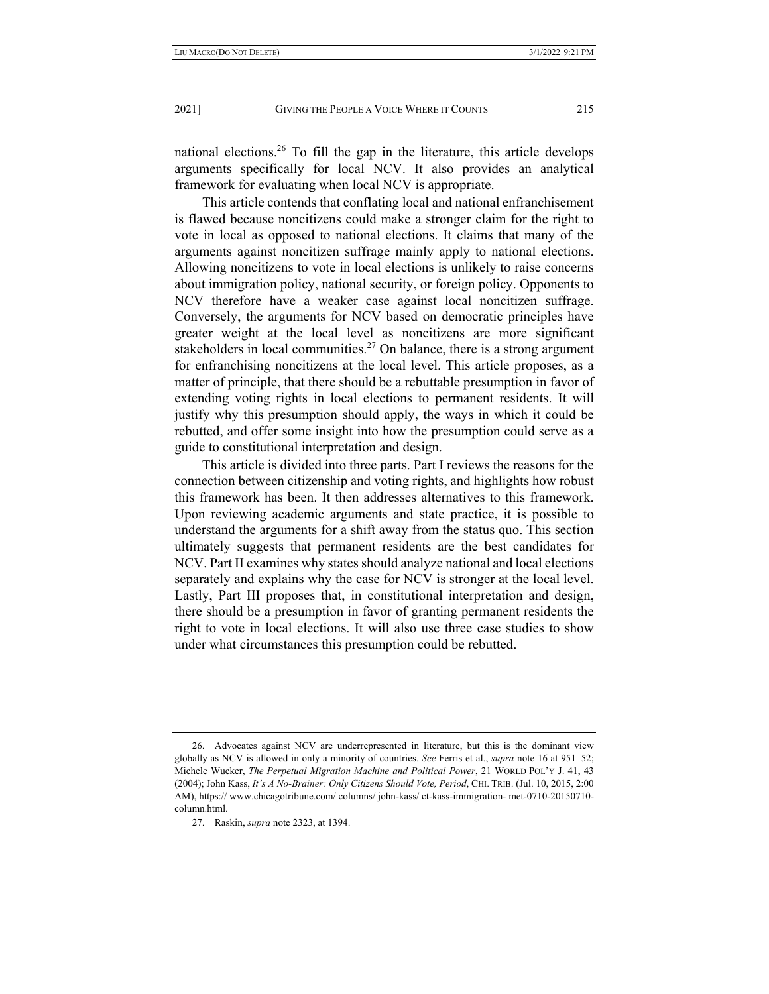national elections.<sup>26</sup> To fill the gap in the literature, this article develops arguments specifically for local NCV. It also provides an analytical framework for evaluating when local NCV is appropriate.

This article contends that conflating local and national enfranchisement is flawed because noncitizens could make a stronger claim for the right to vote in local as opposed to national elections. It claims that many of the arguments against noncitizen suffrage mainly apply to national elections. Allowing noncitizens to vote in local elections is unlikely to raise concerns about immigration policy, national security, or foreign policy. Opponents to NCV therefore have a weaker case against local noncitizen suffrage. Conversely, the arguments for NCV based on democratic principles have greater weight at the local level as noncitizens are more significant stakeholders in local communities.<sup>27</sup> On balance, there is a strong argument for enfranchising noncitizens at the local level. This article proposes, as a matter of principle, that there should be a rebuttable presumption in favor of extending voting rights in local elections to permanent residents. It will justify why this presumption should apply, the ways in which it could be rebutted, and offer some insight into how the presumption could serve as a guide to constitutional interpretation and design.

This article is divided into three parts. Part I reviews the reasons for the connection between citizenship and voting rights, and highlights how robust this framework has been. It then addresses alternatives to this framework. Upon reviewing academic arguments and state practice, it is possible to understand the arguments for a shift away from the status quo. This section ultimately suggests that permanent residents are the best candidates for NCV. Part II examines why states should analyze national and local elections separately and explains why the case for NCV is stronger at the local level. Lastly, Part III proposes that, in constitutional interpretation and design, there should be a presumption in favor of granting permanent residents the right to vote in local elections. It will also use three case studies to show under what circumstances this presumption could be rebutted.

 <sup>26.</sup> Advocates against NCV are underrepresented in literature, but this is the dominant view globally as NCV is allowed in only a minority of countries. *See* Ferris et al., *supra* note 16 at 951–52; Michele Wucker, *The Perpetual Migration Machine and Political Power*, 21 WORLD POL'Y J. 41, 43 (2004); John Kass, *It's A No-Brainer: Only Citizens Should Vote, Period*, CHI. TRIB. (Jul. 10, 2015, 2:00 AM), https:// www.chicagotribune.com/ columns/ john-kass/ ct-kass-immigration- met-0710-20150710 column.html.

 <sup>27.</sup> Raskin, *supra* note 2323, at 1394.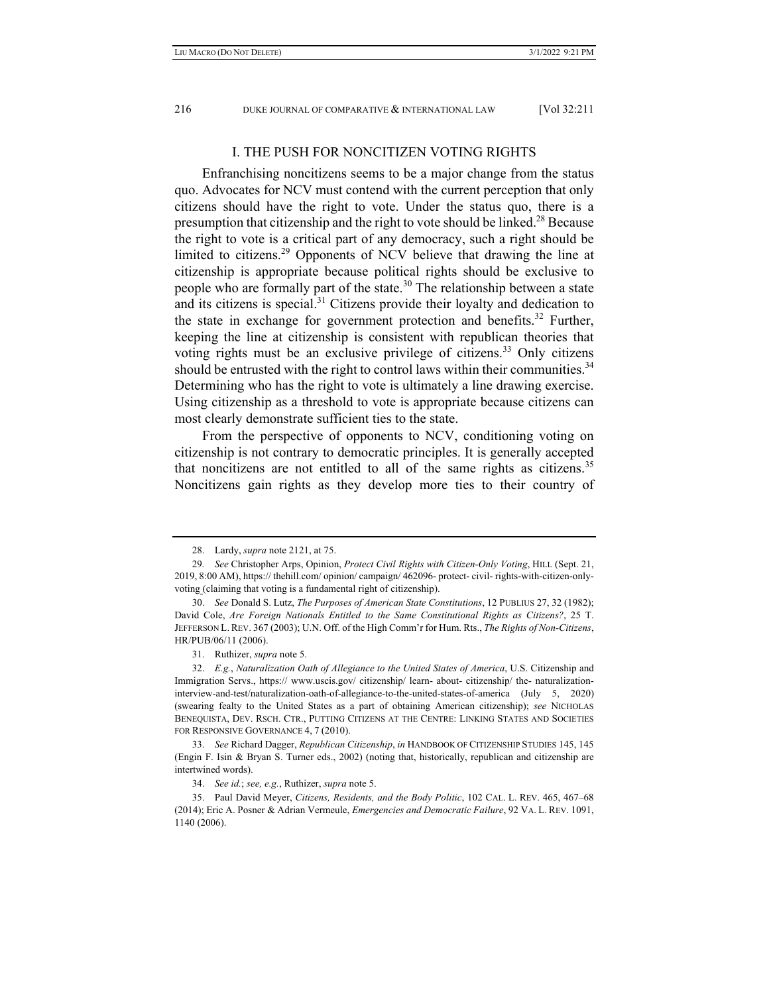## I. THE PUSH FOR NONCITIZEN VOTING RIGHTS

Enfranchising noncitizens seems to be a major change from the status quo. Advocates for NCV must contend with the current perception that only citizens should have the right to vote. Under the status quo, there is a presumption that citizenship and the right to vote should be linked.<sup>28</sup> Because the right to vote is a critical part of any democracy, such a right should be limited to citizens.<sup>29</sup> Opponents of NCV believe that drawing the line at citizenship is appropriate because political rights should be exclusive to people who are formally part of the state.<sup>30</sup> The relationship between a state and its citizens is special.<sup>31</sup> Citizens provide their loyalty and dedication to the state in exchange for government protection and benefits.<sup>32</sup> Further, keeping the line at citizenship is consistent with republican theories that voting rights must be an exclusive privilege of citizens.<sup>33</sup> Only citizens should be entrusted with the right to control laws within their communities.<sup>34</sup> Determining who has the right to vote is ultimately a line drawing exercise. Using citizenship as a threshold to vote is appropriate because citizens can most clearly demonstrate sufficient ties to the state.

From the perspective of opponents to NCV, conditioning voting on citizenship is not contrary to democratic principles. It is generally accepted that noncitizens are not entitled to all of the same rights as citizens.<sup>35</sup> Noncitizens gain rights as they develop more ties to their country of

 <sup>28.</sup> Lardy, *supra* note 2121, at 75.

<sup>29</sup>*. See* Christopher Arps, Opinion, *Protect Civil Rights with Citizen-Only Voting*, HILL (Sept. 21, 2019, 8:00 AM), https:// thehill.com/ opinion/ campaign/ 462096- protect- civil- rights-with-citizen-onlyvoting (claiming that voting is a fundamental right of citizenship).

 <sup>30.</sup> *See* Donald S. Lutz, *The Purposes of American State Constitutions*, 12 PUBLIUS 27, 32 (1982); David Cole, *Are Foreign Nationals Entitled to the Same Constitutional Rights as Citizens?*, 25 T. JEFFERSON L.REV. 367 (2003); U.N. Off. of the High Comm'r for Hum. Rts., *The Rights of Non-Citizens*, HR/PUB/06/11 (2006).

 <sup>31.</sup> Ruthizer, *supra* note 5.

 <sup>32.</sup> *E.g.*, *Naturalization Oath of Allegiance to the United States of America*, U.S. Citizenship and Immigration Servs., https:// www.uscis.gov/ citizenship/ learn- about- citizenship/ the- naturalizationinterview-and-test/naturalization-oath-of-allegiance-to-the-united-states-of-america (July 5, 2020) (swearing fealty to the United States as a part of obtaining American citizenship); *see* NICHOLAS BENEQUISTA, DEV. RSCH. CTR., PUTTING CITIZENS AT THE CENTRE: LINKING STATES AND SOCIETIES FOR RESPONSIVE GOVERNANCE 4, 7 (2010).

 <sup>33.</sup> *See* Richard Dagger, *Republican Citizenship*, *in* HANDBOOK OF CITIZENSHIP STUDIES 145, 145 (Engin F. Isin & Bryan S. Turner eds., 2002) (noting that, historically, republican and citizenship are intertwined words).

 <sup>34.</sup> *See id.*; *see, e.g.*, Ruthizer, *supra* note 5.

 <sup>35.</sup> Paul David Meyer, *Citizens, Residents, and the Body Politic*, 102 CAL. L. REV. 465, 467–68 (2014); Eric A. Posner & Adrian Vermeule, *Emergencies and Democratic Failure*, 92 VA. L. REV. 1091, 1140 (2006).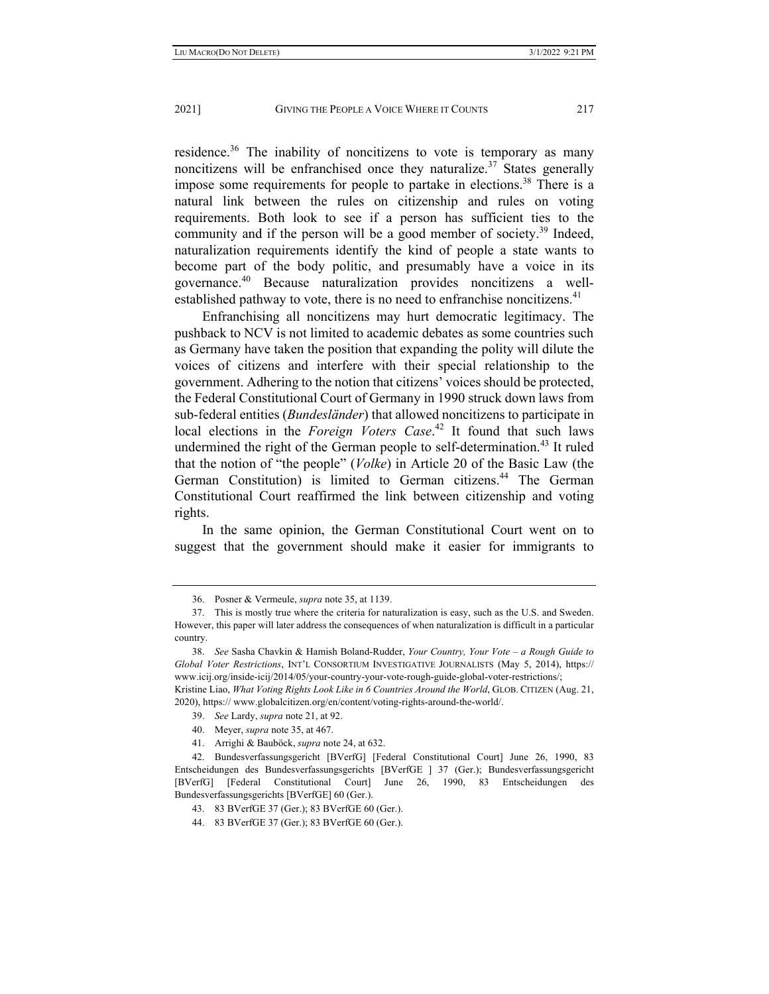residence.<sup>36</sup> The inability of noncitizens to vote is temporary as many noncitizens will be enfranchised once they naturalize.<sup>37</sup> States generally impose some requirements for people to partake in elections.<sup>38</sup> There is a natural link between the rules on citizenship and rules on voting requirements. Both look to see if a person has sufficient ties to the community and if the person will be a good member of society.<sup>39</sup> Indeed, naturalization requirements identify the kind of people a state wants to become part of the body politic, and presumably have a voice in its governance.40 Because naturalization provides noncitizens a wellestablished pathway to vote, there is no need to enfranchise noncitizens.<sup>41</sup>

Enfranchising all noncitizens may hurt democratic legitimacy. The pushback to NCV is not limited to academic debates as some countries such as Germany have taken the position that expanding the polity will dilute the voices of citizens and interfere with their special relationship to the government. Adhering to the notion that citizens' voices should be protected, the Federal Constitutional Court of Germany in 1990 struck down laws from sub-federal entities (*Bundesländer*) that allowed noncitizens to participate in local elections in the *Foreign Voters Case*. 42 It found that such laws undermined the right of the German people to self-determination.<sup>43</sup> It ruled that the notion of "the people" (*Volke*) in Article 20 of the Basic Law (the German Constitution) is limited to German citizens.<sup>44</sup> The German Constitutional Court reaffirmed the link between citizenship and voting rights.

In the same opinion, the German Constitutional Court went on to suggest that the government should make it easier for immigrants to

- 40. Meyer, *supra* note 35, at 467.
- 41. Arrighi & Bauböck, *supra* note 24, at 632.

 <sup>36.</sup> Posner & Vermeule, *supra* note 35, at 1139.

 <sup>37.</sup> This is mostly true where the criteria for naturalization is easy, such as the U.S. and Sweden. However, this paper will later address the consequences of when naturalization is difficult in a particular country.

 <sup>38.</sup> *See* Sasha Chavkin & Hamish Boland-Rudder, *Your Country, Your Vote – a Rough Guide to Global Voter Restrictions*, INT'L CONSORTIUM INVESTIGATIVE JOURNALISTS (May 5, 2014), https:// www.icij.org/inside-icij/2014/05/your-country-your-vote-rough-guide-global-voter-restrictions/; Kristine Liao, *What Voting Rights Look Like in 6 Countries Around the World*, GLOB. CITIZEN (Aug. 21, 2020), https:// www.globalcitizen.org/en/content/voting-rights-around-the-world/.

 <sup>39.</sup> *See* Lardy, *supra* note 21, at 92.

 <sup>42.</sup> Bundesverfassungsgericht [BVerfG] [Federal Constitutional Court] June 26, 1990, 83 Entscheidungen des Bundesverfassungsgerichts [BVerfGE ] 37 (Ger.); Bundesverfassungsgericht [BVerfG] [Federal Constitutional Court] June 26, 1990, 83 Entscheidungen des Bundesverfassungsgerichts [BVerfGE] 60 (Ger.).

 <sup>43. 83</sup> BVerfGE 37 (Ger.); 83 BVerfGE 60 (Ger.).

 <sup>44. 83</sup> BVerfGE 37 (Ger.); 83 BVerfGE 60 (Ger.).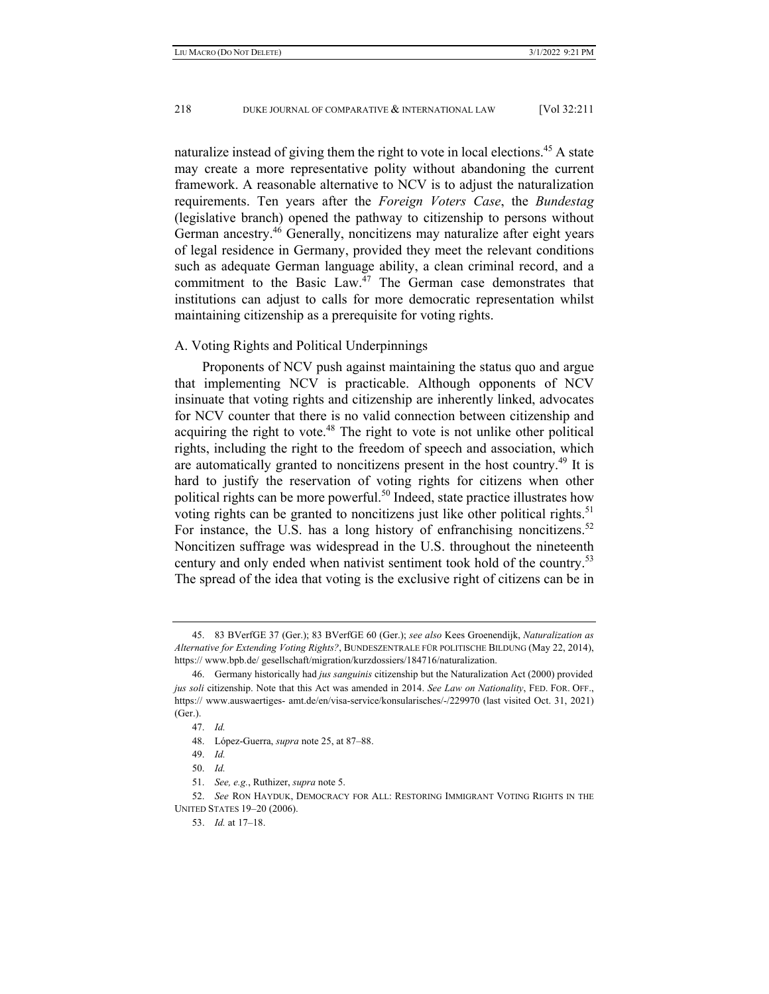naturalize instead of giving them the right to vote in local elections.<sup>45</sup> A state may create a more representative polity without abandoning the current framework. A reasonable alternative to NCV is to adjust the naturalization requirements. Ten years after the *Foreign Voters Case*, the *Bundestag* (legislative branch) opened the pathway to citizenship to persons without German ancestry.<sup>46</sup> Generally, noncitizens may naturalize after eight years of legal residence in Germany, provided they meet the relevant conditions such as adequate German language ability, a clean criminal record, and a commitment to the Basic Law. $47$  The German case demonstrates that institutions can adjust to calls for more democratic representation whilst maintaining citizenship as a prerequisite for voting rights.

### A. Voting Rights and Political Underpinnings

Proponents of NCV push against maintaining the status quo and argue that implementing NCV is practicable. Although opponents of NCV insinuate that voting rights and citizenship are inherently linked, advocates for NCV counter that there is no valid connection between citizenship and acquiring the right to vote.<sup>48</sup> The right to vote is not unlike other political rights, including the right to the freedom of speech and association, which are automatically granted to noncitizens present in the host country.<sup>49</sup> It is hard to justify the reservation of voting rights for citizens when other political rights can be more powerful.<sup>50</sup> Indeed, state practice illustrates how voting rights can be granted to noncitizens just like other political rights.<sup>51</sup> For instance, the U.S. has a long history of enfranchising noncitizens.<sup>52</sup> Noncitizen suffrage was widespread in the U.S. throughout the nineteenth century and only ended when nativist sentiment took hold of the country.<sup>53</sup> The spread of the idea that voting is the exclusive right of citizens can be in

 <sup>45. 83</sup> BVerfGE 37 (Ger.); 83 BVerfGE 60 (Ger.); *see also* Kees Groenendijk, *Naturalization as Alternative for Extending Voting Rights?*, BUNDESZENTRALE FÜR POLITISCHE BILDUNG (May 22, 2014), https:// www.bpb.de/ gesellschaft/migration/kurzdossiers/184716/naturalization.

 <sup>46.</sup> Germany historically had *jus sanguinis* citizenship but the Naturalization Act (2000) provided *jus soli* citizenship. Note that this Act was amended in 2014. *See Law on Nationality*, FED. FOR. OFF., https:// www.auswaertiges- amt.de/en/visa-service/konsularisches/-/229970 (last visited Oct. 31, 2021) (Ger.).

 <sup>47.</sup> *Id.* 

 <sup>48.</sup> López-Guerra, *supra* note 25, at 87–88.

 <sup>49.</sup> *Id.*

 <sup>50.</sup> *Id.*

 <sup>51.</sup> *See, e.g.*, Ruthizer, *supra* note 5.

 <sup>52.</sup> *See* RON HAYDUK, DEMOCRACY FOR ALL: RESTORING IMMIGRANT VOTING RIGHTS IN THE UNITED STATES 19–20 (2006).

 <sup>53.</sup> *Id.* at 17–18.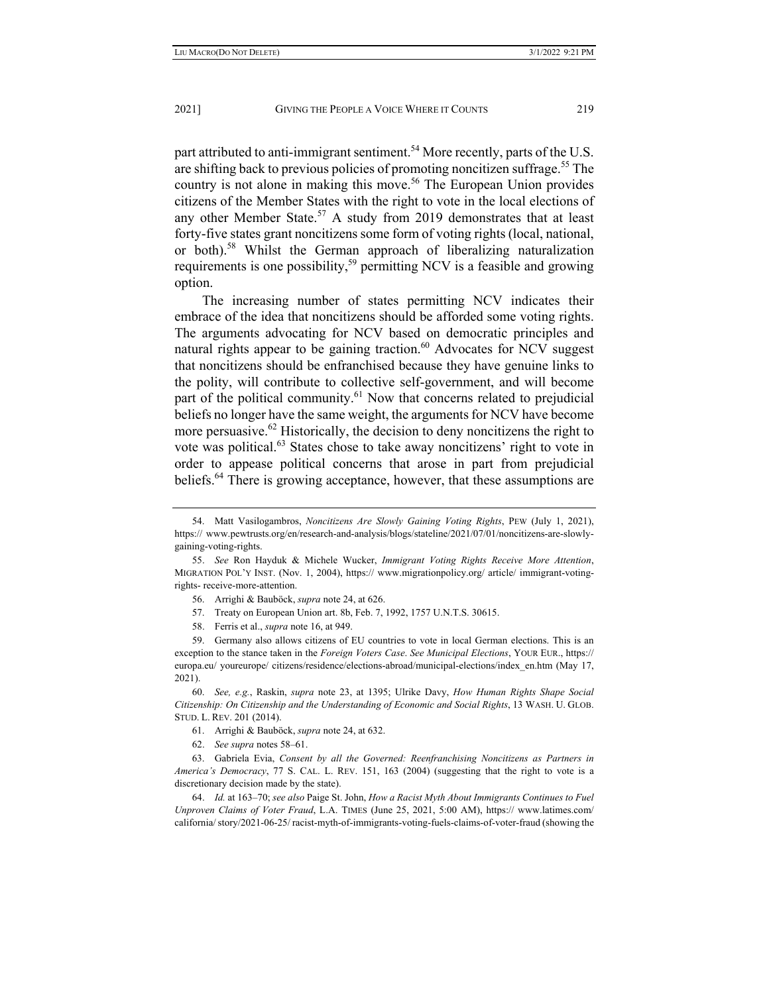part attributed to anti-immigrant sentiment.<sup>54</sup> More recently, parts of the U.S. are shifting back to previous policies of promoting noncitizen suffrage.<sup>55</sup> The country is not alone in making this move.<sup>56</sup> The European Union provides citizens of the Member States with the right to vote in the local elections of any other Member State.<sup>57</sup> A study from 2019 demonstrates that at least forty-five states grant noncitizens some form of voting rights (local, national, or both).<sup>58</sup> Whilst the German approach of liberalizing naturalization requirements is one possibility,<sup>59</sup> permitting NCV is a feasible and growing option.

The increasing number of states permitting NCV indicates their embrace of the idea that noncitizens should be afforded some voting rights. The arguments advocating for NCV based on democratic principles and natural rights appear to be gaining traction.<sup>60</sup> Advocates for NCV suggest that noncitizens should be enfranchised because they have genuine links to the polity, will contribute to collective self-government, and will become part of the political community.<sup>61</sup> Now that concerns related to prejudicial beliefs no longer have the same weight, the arguments for NCV have become more persuasive.<sup>62</sup> Historically, the decision to deny noncitizens the right to vote was political.<sup>63</sup> States chose to take away noncitizens' right to vote in order to appease political concerns that arose in part from prejudicial beliefs.<sup>64</sup> There is growing acceptance, however, that these assumptions are

- 56. Arrighi & Bauböck, *supra* note 24, at 626.
- 57. Treaty on European Union art. 8b, Feb. 7, 1992, 1757 U.N.T.S. 30615.
- 58. Ferris et al., *supra* note 16, at 949.

 59. Germany also allows citizens of EU countries to vote in local German elections. This is an exception to the stance taken in the *Foreign Voters Case*. *See Municipal Elections*, YOUR EUR., https:// europa.eu/ youreurope/ citizens/residence/elections-abroad/municipal-elections/index\_en.htm (May 17, 2021).

 60. *See, e.g.*, Raskin, *supra* note 23, at 1395; Ulrike Davy, *How Human Rights Shape Social Citizenship: On Citizenship and the Understanding of Economic and Social Rights*, 13 WASH. U. GLOB. STUD. L. REV. 201 (2014).

- 61. Arrighi & Bauböck, *supra* note 24, at 632.
- 62. *See supra* notes 58–61.

 63. Gabriela Evia, *Consent by all the Governed: Reenfranchising Noncitizens as Partners in America's Democracy*, 77 S. CAL. L. REV. 151, 163 (2004) (suggesting that the right to vote is a discretionary decision made by the state).

 64. *Id.* at 163–70; *see also* Paige St. John, *How a Racist Myth About Immigrants Continues to Fuel Unproven Claims of Voter Fraud*, L.A. TIMES (June 25, 2021, 5:00 AM), https:// www.latimes.com/ california/ story/2021-06-25/ racist-myth-of-immigrants-voting-fuels-claims-of-voter-fraud (showing the

 <sup>54.</sup> Matt Vasilogambros, *Noncitizens Are Slowly Gaining Voting Rights*, PEW (July 1, 2021), https:// www.pewtrusts.org/en/research-and-analysis/blogs/stateline/2021/07/01/noncitizens-are-slowlygaining-voting-rights.

 <sup>55.</sup> *See* Ron Hayduk & Michele Wucker, *Immigrant Voting Rights Receive More Attention*, MIGRATION POL'Y INST. (Nov. 1, 2004), https:// www.migrationpolicy.org/ article/ immigrant-votingrights- receive-more-attention.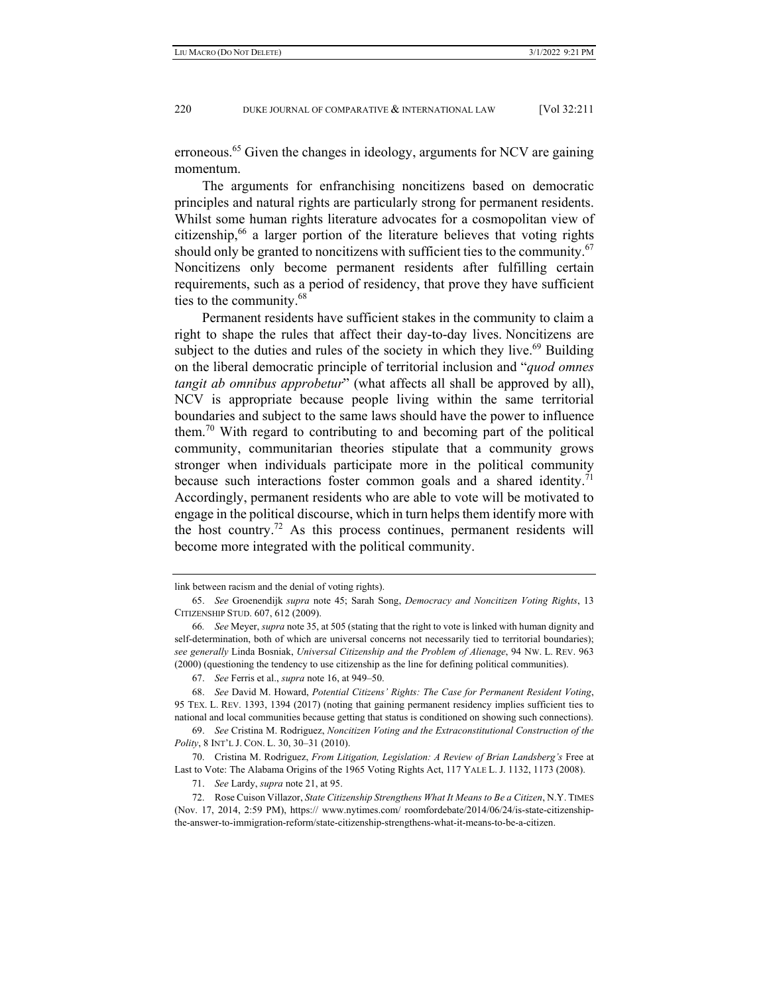erroneous.<sup>65</sup> Given the changes in ideology, arguments for NCV are gaining momentum.

The arguments for enfranchising noncitizens based on democratic principles and natural rights are particularly strong for permanent residents. Whilst some human rights literature advocates for a cosmopolitan view of citizenship,<sup>66</sup> a larger portion of the literature believes that voting rights should only be granted to noncitizens with sufficient ties to the community. $67$ Noncitizens only become permanent residents after fulfilling certain requirements, such as a period of residency, that prove they have sufficient ties to the community.68

Permanent residents have sufficient stakes in the community to claim a right to shape the rules that affect their day-to-day lives. Noncitizens are subject to the duties and rules of the society in which they live.<sup>69</sup> Building on the liberal democratic principle of territorial inclusion and "*quod omnes tangit ab omnibus approbetur*" (what affects all shall be approved by all), NCV is appropriate because people living within the same territorial boundaries and subject to the same laws should have the power to influence them.<sup>70</sup> With regard to contributing to and becoming part of the political community, communitarian theories stipulate that a community grows stronger when individuals participate more in the political community because such interactions foster common goals and a shared identity.<sup>71</sup> Accordingly, permanent residents who are able to vote will be motivated to engage in the political discourse, which in turn helps them identify more with the host country.<sup>72</sup> As this process continues, permanent residents will become more integrated with the political community.

link between racism and the denial of voting rights).

 <sup>65.</sup> *See* Groenendijk *supra* note 45; Sarah Song, *Democracy and Noncitizen Voting Rights*, 13 CITIZENSHIP STUD. 607, 612 (2009).

<sup>66</sup>*. See* Meyer, *supra* note 35, at 505 (stating that the right to vote is linked with human dignity and self-determination, both of which are universal concerns not necessarily tied to territorial boundaries); *see generally* Linda Bosniak, *Universal Citizenship and the Problem of Alienage*, 94 NW. L. REV. 963 (2000) (questioning the tendency to use citizenship as the line for defining political communities).

 <sup>67.</sup> *See* Ferris et al., *supra* note 16, at 949–50.

 <sup>68.</sup> *See* David M. Howard, *Potential Citizens' Rights: The Case for Permanent Resident Voting*, 95 TEX. L. REV. 1393, 1394 (2017) (noting that gaining permanent residency implies sufficient ties to national and local communities because getting that status is conditioned on showing such connections).

 <sup>69.</sup> *See* Cristina M. Rodriguez, *Noncitizen Voting and the Extraconstitutional Construction of the Polity*, 8 INT'L J. CON. L. 30, 30–31 (2010).

 <sup>70.</sup> Cristina M. Rodriguez, *From Litigation, Legislation: A Review of Brian Landsberg's* Free at Last to Vote: The Alabama Origins of the 1965 Voting Rights Act, 117 YALE L. J. 1132, 1173 (2008).

 <sup>71.</sup> *See* Lardy, *supra* note 21, at 95.

 <sup>72.</sup> Rose Cuison Villazor, *State Citizenship Strengthens What It Means to Be a Citizen*, N.Y. TIMES (Nov. 17, 2014, 2:59 PM), https:// www.nytimes.com/ roomfordebate/2014/06/24/is-state-citizenshipthe-answer-to-immigration-reform/state-citizenship-strengthens-what-it-means-to-be-a-citizen.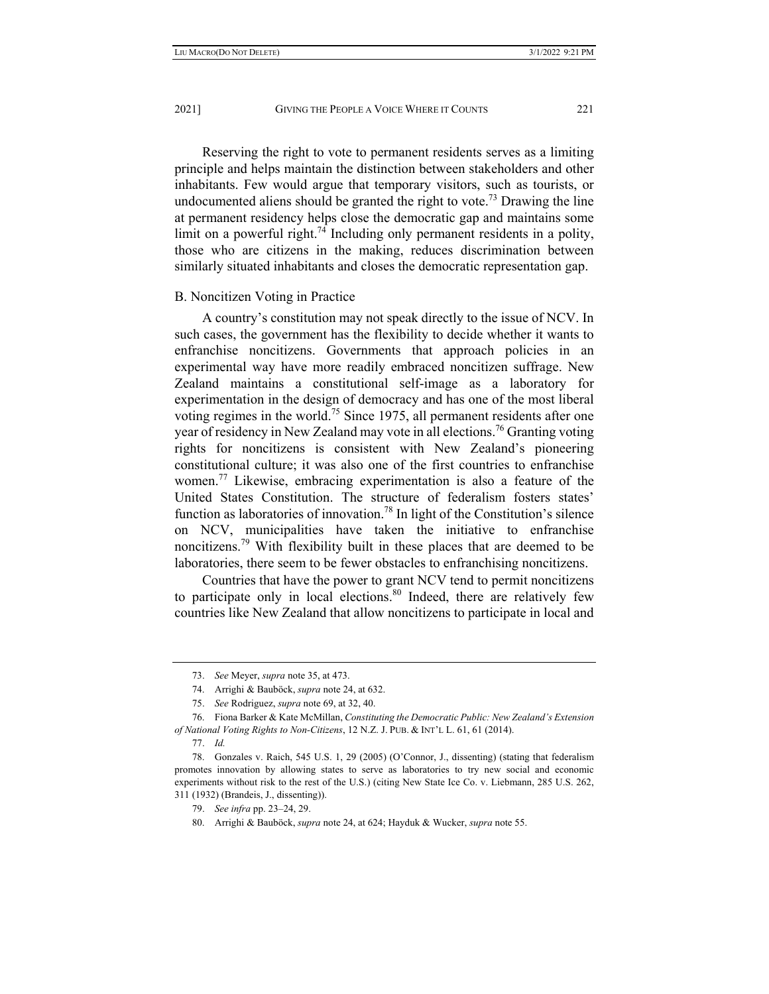Reserving the right to vote to permanent residents serves as a limiting principle and helps maintain the distinction between stakeholders and other inhabitants. Few would argue that temporary visitors, such as tourists, or undocumented aliens should be granted the right to vote.<sup>73</sup> Drawing the line at permanent residency helps close the democratic gap and maintains some limit on a powerful right.<sup>74</sup> Including only permanent residents in a polity, those who are citizens in the making, reduces discrimination between similarly situated inhabitants and closes the democratic representation gap.

### B. Noncitizen Voting in Practice

A country's constitution may not speak directly to the issue of NCV. In such cases, the government has the flexibility to decide whether it wants to enfranchise noncitizens. Governments that approach policies in an experimental way have more readily embraced noncitizen suffrage. New Zealand maintains a constitutional self-image as a laboratory for experimentation in the design of democracy and has one of the most liberal voting regimes in the world.<sup>75</sup> Since 1975, all permanent residents after one year of residency in New Zealand may vote in all elections.<sup>76</sup> Granting voting rights for noncitizens is consistent with New Zealand's pioneering constitutional culture; it was also one of the first countries to enfranchise women.<sup>77</sup> Likewise, embracing experimentation is also a feature of the United States Constitution. The structure of federalism fosters states' function as laboratories of innovation.78 In light of the Constitution's silence on NCV, municipalities have taken the initiative to enfranchise noncitizens.<sup>79</sup> With flexibility built in these places that are deemed to be laboratories, there seem to be fewer obstacles to enfranchising noncitizens.

Countries that have the power to grant NCV tend to permit noncitizens to participate only in local elections.<sup>80</sup> Indeed, there are relatively few countries like New Zealand that allow noncitizens to participate in local and

 <sup>73.</sup> *See* Meyer, *supra* note 35, at 473.

 <sup>74.</sup> Arrighi & Bauböck, *supra* note 24, at 632.

 <sup>75.</sup> *See* Rodriguez, *supra* note 69, at 32, 40.

 <sup>76.</sup> Fiona Barker & Kate McMillan, *Constituting the Democratic Public: New Zealand's Extension of National Voting Rights to Non-Citizens*, 12 N.Z. J. PUB. & INT'L L. 61, 61 (2014).

 <sup>77.</sup> *Id.*

 <sup>78.</sup> Gonzales v. Raich, 545 U.S. 1, 29 (2005) (O'Connor, J., dissenting) (stating that federalism promotes innovation by allowing states to serve as laboratories to try new social and economic experiments without risk to the rest of the U.S.) (citing New State Ice Co. v. Liebmann, 285 U.S. 262, 311 (1932) (Brandeis, J., dissenting)).

 <sup>79.</sup> *See infra* pp. 23–24, 29.

 <sup>80.</sup> Arrighi & Bauböck, *supra* note 24, at 624; Hayduk & Wucker, *supra* note 55.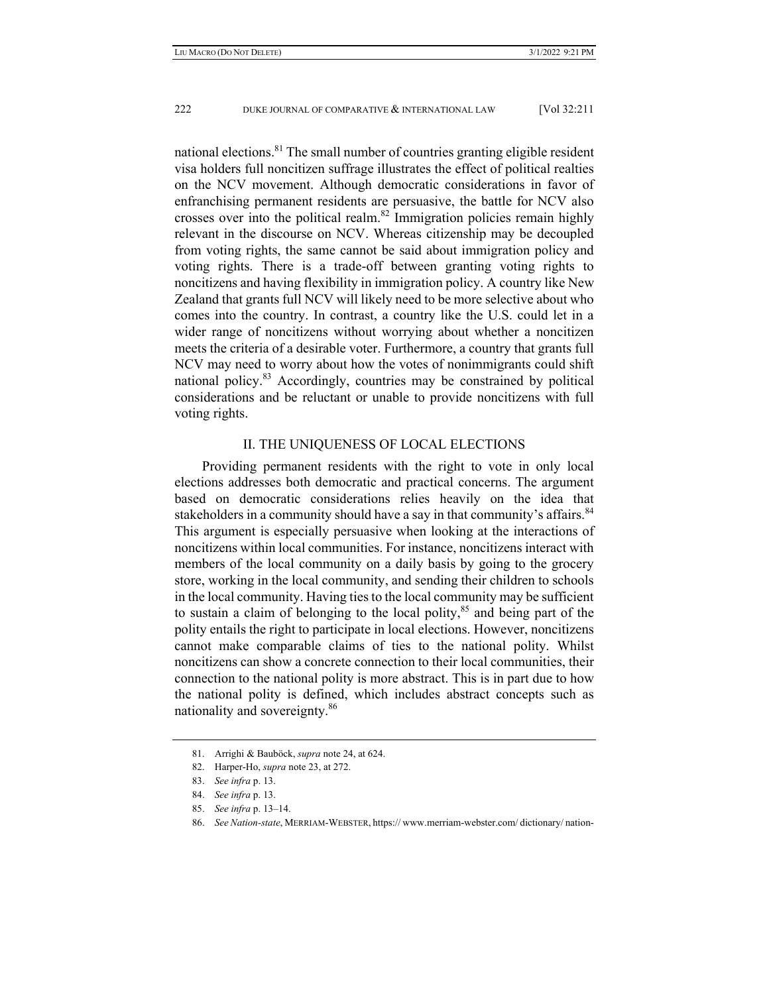national elections.<sup>81</sup> The small number of countries granting eligible resident visa holders full noncitizen suffrage illustrates the effect of political realties on the NCV movement. Although democratic considerations in favor of enfranchising permanent residents are persuasive, the battle for NCV also crosses over into the political realm.<sup>82</sup> Immigration policies remain highly relevant in the discourse on NCV. Whereas citizenship may be decoupled from voting rights, the same cannot be said about immigration policy and voting rights. There is a trade-off between granting voting rights to noncitizens and having flexibility in immigration policy. A country like New Zealand that grants full NCV will likely need to be more selective about who comes into the country. In contrast, a country like the U.S. could let in a wider range of noncitizens without worrying about whether a noncitizen meets the criteria of a desirable voter. Furthermore, a country that grants full NCV may need to worry about how the votes of nonimmigrants could shift national policy. $83$  Accordingly, countries may be constrained by political considerations and be reluctant or unable to provide noncitizens with full voting rights.

# II. THE UNIQUENESS OF LOCAL ELECTIONS

Providing permanent residents with the right to vote in only local elections addresses both democratic and practical concerns. The argument based on democratic considerations relies heavily on the idea that stakeholders in a community should have a say in that community's affairs.<sup>84</sup> This argument is especially persuasive when looking at the interactions of noncitizens within local communities. For instance, noncitizens interact with members of the local community on a daily basis by going to the grocery store, working in the local community, and sending their children to schools in the local community. Having ties to the local community may be sufficient to sustain a claim of belonging to the local polity, $85$  and being part of the polity entails the right to participate in local elections. However, noncitizens cannot make comparable claims of ties to the national polity. Whilst noncitizens can show a concrete connection to their local communities, their connection to the national polity is more abstract. This is in part due to how the national polity is defined, which includes abstract concepts such as nationality and sovereignty.<sup>86</sup>

 <sup>81.</sup> Arrighi & Bauböck, *supra* note 24, at 624.

 <sup>82.</sup> Harper-Ho, *supra* note 23, at 272.

 <sup>83.</sup> *See infra* p. 13.

 <sup>84.</sup> *See infra* p. 13.

 <sup>85.</sup> *See infra* p. 13–14.

 <sup>86.</sup> *See Nation-state*, MERRIAM-WEBSTER, https:// www.merriam-webster.com/ dictionary/ nation-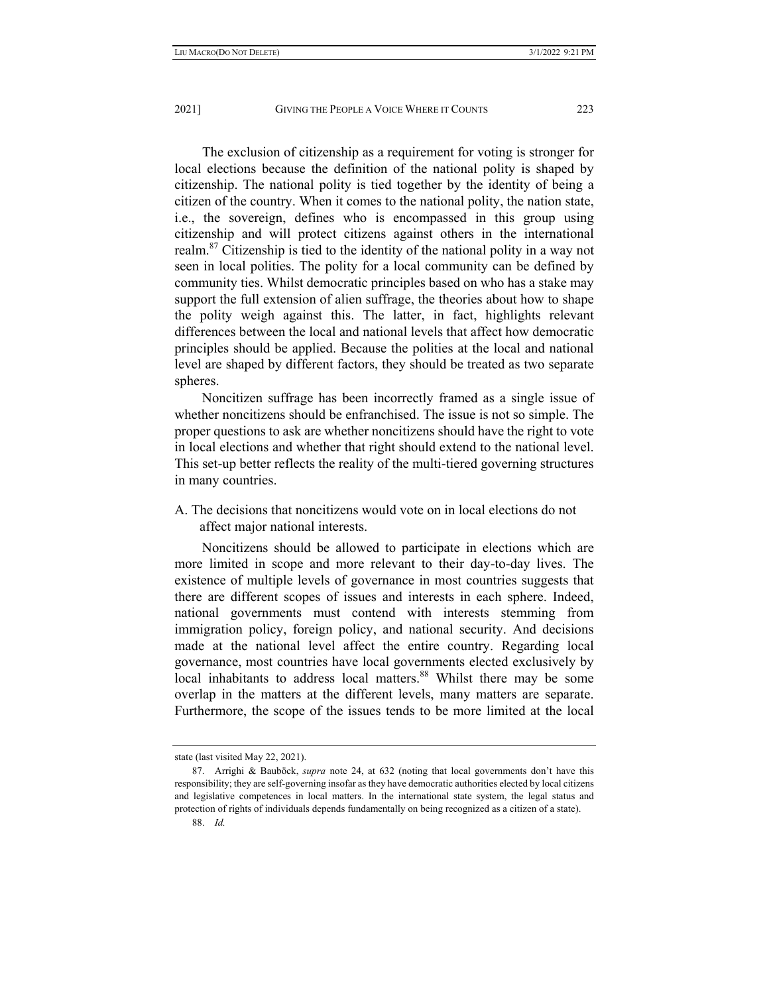The exclusion of citizenship as a requirement for voting is stronger for local elections because the definition of the national polity is shaped by citizenship. The national polity is tied together by the identity of being a citizen of the country. When it comes to the national polity, the nation state, i.e., the sovereign, defines who is encompassed in this group using citizenship and will protect citizens against others in the international realm.<sup>87</sup> Citizenship is tied to the identity of the national polity in a way not seen in local polities. The polity for a local community can be defined by community ties. Whilst democratic principles based on who has a stake may support the full extension of alien suffrage, the theories about how to shape the polity weigh against this. The latter, in fact, highlights relevant differences between the local and national levels that affect how democratic principles should be applied. Because the polities at the local and national level are shaped by different factors, they should be treated as two separate spheres.

Noncitizen suffrage has been incorrectly framed as a single issue of whether noncitizens should be enfranchised. The issue is not so simple. The proper questions to ask are whether noncitizens should have the right to vote in local elections and whether that right should extend to the national level. This set-up better reflects the reality of the multi-tiered governing structures in many countries.

A. The decisions that noncitizens would vote on in local elections do not affect major national interests.

Noncitizens should be allowed to participate in elections which are more limited in scope and more relevant to their day-to-day lives. The existence of multiple levels of governance in most countries suggests that there are different scopes of issues and interests in each sphere. Indeed, national governments must contend with interests stemming from immigration policy, foreign policy, and national security. And decisions made at the national level affect the entire country. Regarding local governance, most countries have local governments elected exclusively by local inhabitants to address local matters.<sup>88</sup> Whilst there may be some overlap in the matters at the different levels, many matters are separate. Furthermore, the scope of the issues tends to be more limited at the local

state (last visited May 22, 2021).

 <sup>87.</sup> Arrighi & Bauböck, *supra* note 24, at 632 (noting that local governments don't have this responsibility; they are self-governing insofar as they have democratic authorities elected by local citizens and legislative competences in local matters. In the international state system, the legal status and protection of rights of individuals depends fundamentally on being recognized as a citizen of a state).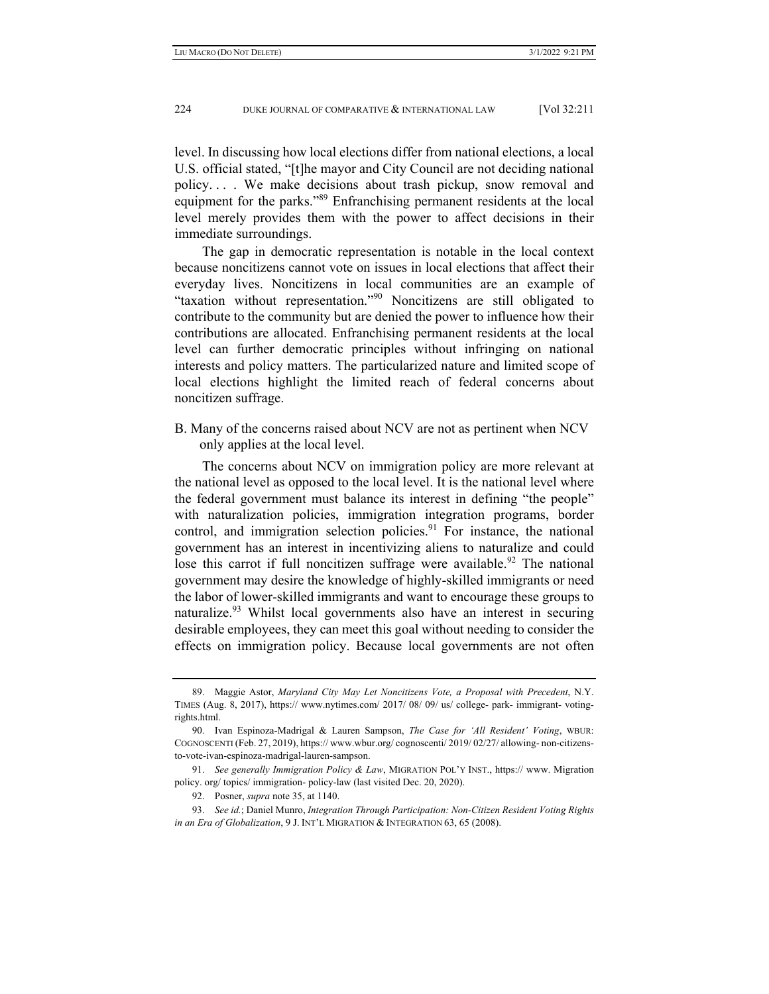level. In discussing how local elections differ from national elections, a local U.S. official stated, "[t]he mayor and City Council are not deciding national policy. . . . We make decisions about trash pickup, snow removal and equipment for the parks."89 Enfranchising permanent residents at the local level merely provides them with the power to affect decisions in their immediate surroundings.

The gap in democratic representation is notable in the local context because noncitizens cannot vote on issues in local elections that affect their everyday lives. Noncitizens in local communities are an example of "taxation without representation."90 Noncitizens are still obligated to contribute to the community but are denied the power to influence how their contributions are allocated. Enfranchising permanent residents at the local level can further democratic principles without infringing on national interests and policy matters. The particularized nature and limited scope of local elections highlight the limited reach of federal concerns about noncitizen suffrage.

B. Many of the concerns raised about NCV are not as pertinent when NCV only applies at the local level.

The concerns about NCV on immigration policy are more relevant at the national level as opposed to the local level. It is the national level where the federal government must balance its interest in defining "the people" with naturalization policies, immigration integration programs, border control, and immigration selection policies. $91$  For instance, the national government has an interest in incentivizing aliens to naturalize and could lose this carrot if full noncitizen suffrage were available.<sup>92</sup> The national government may desire the knowledge of highly-skilled immigrants or need the labor of lower-skilled immigrants and want to encourage these groups to naturalize.<sup>93</sup> Whilst local governments also have an interest in securing desirable employees, they can meet this goal without needing to consider the effects on immigration policy. Because local governments are not often

 <sup>89.</sup> Maggie Astor, *Maryland City May Let Noncitizens Vote, a Proposal with Precedent*, N.Y. TIMES (Aug. 8, 2017), https:// www.nytimes.com/ 2017/ 08/ 09/ us/ college- park- immigrant- votingrights.html.

 <sup>90.</sup> Ivan Espinoza-Madrigal & Lauren Sampson, *The Case for 'All Resident' Voting*, WBUR: COGNOSCENTI (Feb. 27, 2019), https:// www.wbur.org/ cognoscenti/ 2019/ 02/27/ allowing- non-citizensto-vote-ivan-espinoza-madrigal-lauren-sampson.

 <sup>91.</sup> *See generally Immigration Policy & Law*, MIGRATION POL'Y INST., https:// www. Migration policy. org/ topics/ immigration- policy-law (last visited Dec. 20, 2020).

 <sup>92.</sup> Posner, *supra* note 35, at 1140.

 <sup>93.</sup> *See id.*; Daniel Munro, *Integration Through Participation: Non-Citizen Resident Voting Rights in an Era of Globalization*, 9 J. INT'L MIGRATION & INTEGRATION 63, 65 (2008).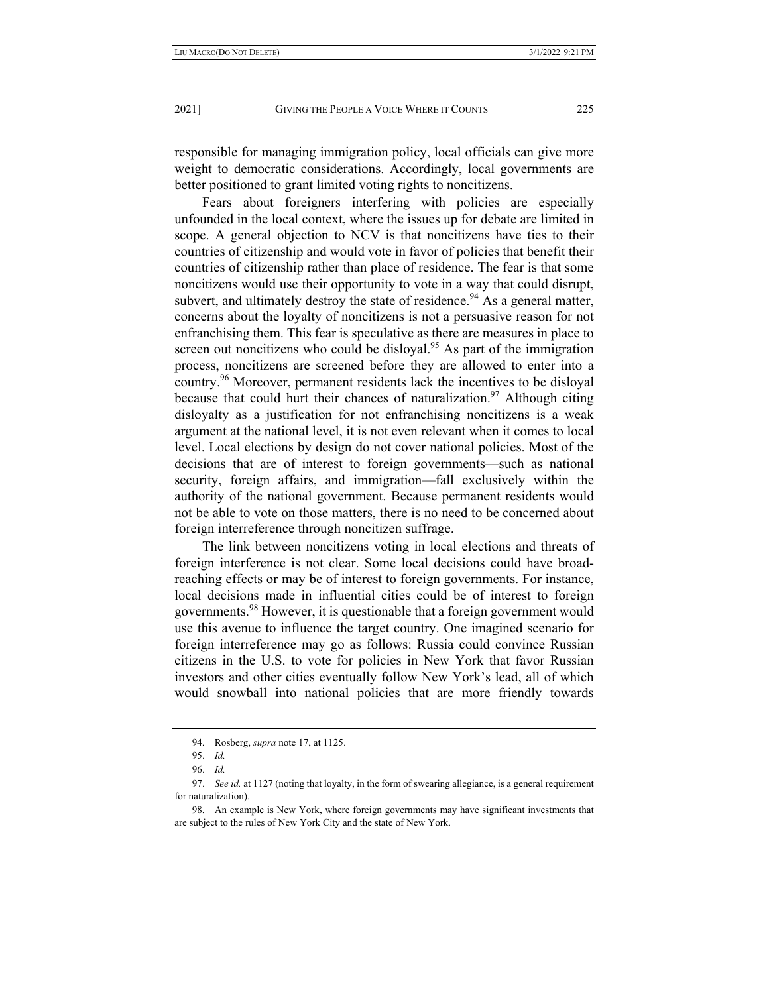responsible for managing immigration policy, local officials can give more weight to democratic considerations. Accordingly, local governments are better positioned to grant limited voting rights to noncitizens.

Fears about foreigners interfering with policies are especially unfounded in the local context, where the issues up for debate are limited in scope. A general objection to NCV is that noncitizens have ties to their countries of citizenship and would vote in favor of policies that benefit their countries of citizenship rather than place of residence. The fear is that some noncitizens would use their opportunity to vote in a way that could disrupt, subvert, and ultimately destroy the state of residence.<sup>94</sup> As a general matter, concerns about the loyalty of noncitizens is not a persuasive reason for not enfranchising them. This fear is speculative as there are measures in place to screen out noncitizens who could be disloyal.<sup>95</sup> As part of the immigration process, noncitizens are screened before they are allowed to enter into a country.<sup>96</sup> Moreover, permanent residents lack the incentives to be disloyal because that could hurt their chances of naturalization.<sup>97</sup> Although citing disloyalty as a justification for not enfranchising noncitizens is a weak argument at the national level, it is not even relevant when it comes to local level. Local elections by design do not cover national policies. Most of the decisions that are of interest to foreign governments—such as national security, foreign affairs, and immigration—fall exclusively within the authority of the national government. Because permanent residents would not be able to vote on those matters, there is no need to be concerned about foreign interreference through noncitizen suffrage.

The link between noncitizens voting in local elections and threats of foreign interference is not clear. Some local decisions could have broadreaching effects or may be of interest to foreign governments. For instance, local decisions made in influential cities could be of interest to foreign governments.98 However, it is questionable that a foreign government would use this avenue to influence the target country. One imagined scenario for foreign interreference may go as follows: Russia could convince Russian citizens in the U.S. to vote for policies in New York that favor Russian investors and other cities eventually follow New York's lead, all of which would snowball into national policies that are more friendly towards

 <sup>94.</sup> Rosberg, *supra* note 17, at 1125.

 <sup>95.</sup> *Id.*

 <sup>96.</sup> *Id.*

 <sup>97.</sup> *See id.* at 1127 (noting that loyalty, in the form of swearing allegiance, is a general requirement for naturalization).

 <sup>98.</sup> An example is New York, where foreign governments may have significant investments that are subject to the rules of New York City and the state of New York.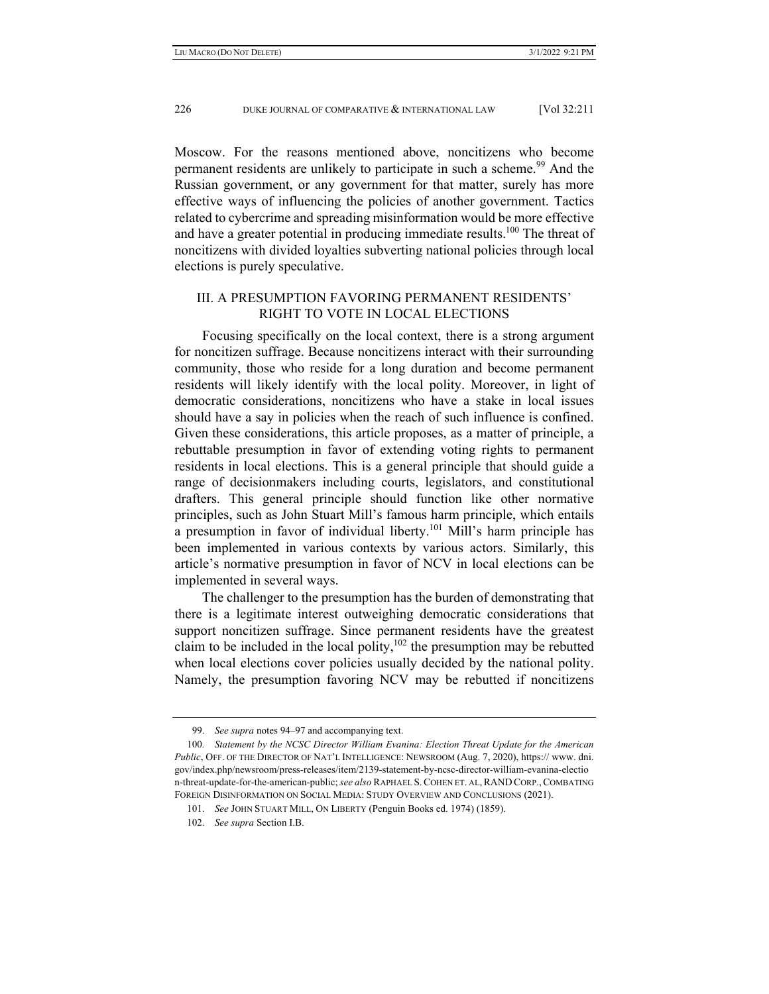Moscow. For the reasons mentioned above, noncitizens who become permanent residents are unlikely to participate in such a scheme.<sup>99</sup> And the Russian government, or any government for that matter, surely has more effective ways of influencing the policies of another government. Tactics related to cybercrime and spreading misinformation would be more effective and have a greater potential in producing immediate results.<sup>100</sup> The threat of noncitizens with divided loyalties subverting national policies through local elections is purely speculative.

# III. A PRESUMPTION FAVORING PERMANENT RESIDENTS' RIGHT TO VOTE IN LOCAL ELECTIONS

Focusing specifically on the local context, there is a strong argument for noncitizen suffrage. Because noncitizens interact with their surrounding community, those who reside for a long duration and become permanent residents will likely identify with the local polity. Moreover, in light of democratic considerations, noncitizens who have a stake in local issues should have a say in policies when the reach of such influence is confined. Given these considerations, this article proposes, as a matter of principle, a rebuttable presumption in favor of extending voting rights to permanent residents in local elections. This is a general principle that should guide a range of decisionmakers including courts, legislators, and constitutional drafters. This general principle should function like other normative principles, such as John Stuart Mill's famous harm principle, which entails a presumption in favor of individual liberty.101 Mill's harm principle has been implemented in various contexts by various actors. Similarly, this article's normative presumption in favor of NCV in local elections can be implemented in several ways.

The challenger to the presumption has the burden of demonstrating that there is a legitimate interest outweighing democratic considerations that support noncitizen suffrage. Since permanent residents have the greatest claim to be included in the local polity, $102$  the presumption may be rebutted when local elections cover policies usually decided by the national polity. Namely, the presumption favoring NCV may be rebutted if noncitizens

 <sup>99.</sup> *See supra* notes 94–97 and accompanying text.

<sup>100</sup>*. Statement by the NCSC Director William Evanina: Election Threat Update for the American Public*, OFF. OF THE DIRECTOR OF NAT'L INTELLIGENCE: NEWSROOM (Aug. 7, 2020), https:// www. dni. gov/index.php/newsroom/press-releases/item/2139-statement-by-ncsc-director-william-evanina-electio n-threat-update-for-the-american-public; *see also* RAPHAEL S.COHEN ET. AL,RAND CORP.,COMBATING FOREIGN DISINFORMATION ON SOCIAL MEDIA: STUDY OVERVIEW AND CONCLUSIONS (2021).

 <sup>101.</sup> *See* JOHN STUART MILL, ON LIBERTY (Penguin Books ed. 1974) (1859).

 <sup>102.</sup> *See supra* Section I.B.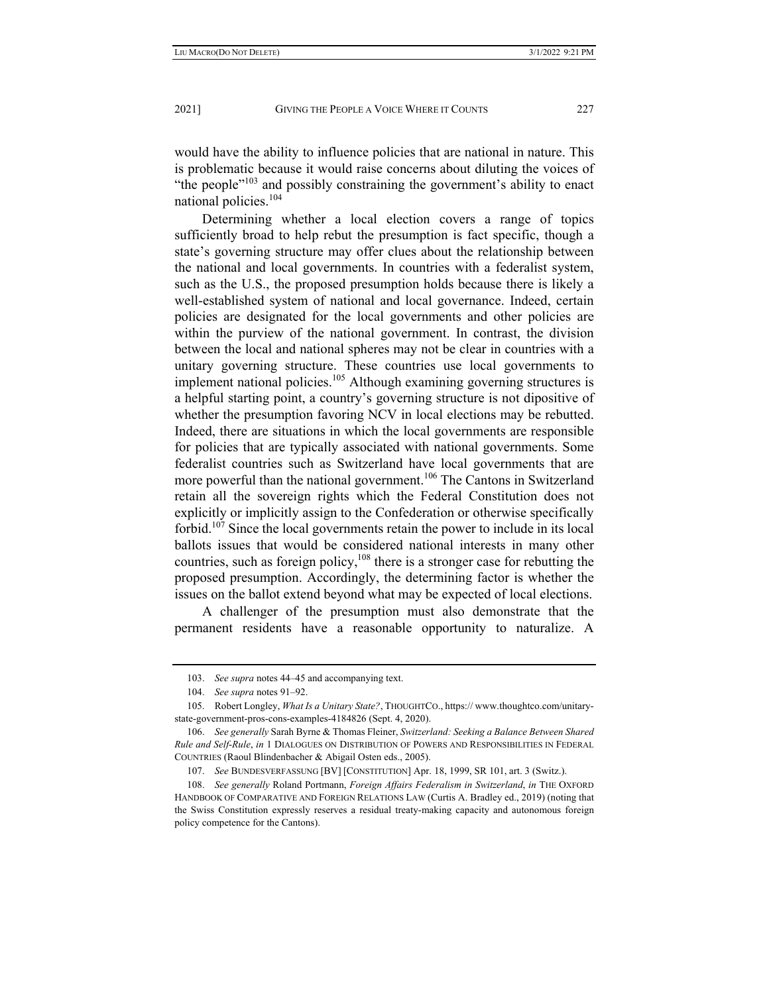would have the ability to influence policies that are national in nature. This is problematic because it would raise concerns about diluting the voices of "the people $"103$  and possibly constraining the government's ability to enact national policies.<sup>104</sup>

Determining whether a local election covers a range of topics sufficiently broad to help rebut the presumption is fact specific, though a state's governing structure may offer clues about the relationship between the national and local governments. In countries with a federalist system, such as the U.S., the proposed presumption holds because there is likely a well-established system of national and local governance. Indeed, certain policies are designated for the local governments and other policies are within the purview of the national government. In contrast, the division between the local and national spheres may not be clear in countries with a unitary governing structure. These countries use local governments to implement national policies.<sup>105</sup> Although examining governing structures is a helpful starting point, a country's governing structure is not dipositive of whether the presumption favoring NCV in local elections may be rebutted. Indeed, there are situations in which the local governments are responsible for policies that are typically associated with national governments. Some federalist countries such as Switzerland have local governments that are more powerful than the national government.<sup>106</sup> The Cantons in Switzerland retain all the sovereign rights which the Federal Constitution does not explicitly or implicitly assign to the Confederation or otherwise specifically forbid.<sup>107</sup> Since the local governments retain the power to include in its local ballots issues that would be considered national interests in many other countries, such as foreign policy, $108$  there is a stronger case for rebutting the proposed presumption. Accordingly, the determining factor is whether the issues on the ballot extend beyond what may be expected of local elections.

A challenger of the presumption must also demonstrate that the permanent residents have a reasonable opportunity to naturalize. A

 <sup>103.</sup> *See supra* notes 44–45 and accompanying text.

 <sup>104.</sup> *See supra* notes 91–92.

 <sup>105.</sup> Robert Longley, *What Is a Unitary State?*, THOUGHTCO., https:// www.thoughtco.com/unitarystate-government-pros-cons-examples-4184826 (Sept. 4, 2020).

 <sup>106.</sup> *See generally* Sarah Byrne & Thomas Fleiner, *Switzerland: Seeking a Balance Between Shared Rule and Self*-*Rule*, *in* 1 DIALOGUES ON DISTRIBUTION OF POWERS AND RESPONSIBILITIES IN FEDERAL COUNTRIES (Raoul Blindenbacher & Abigail Osten eds., 2005).

 <sup>107.</sup> *See* BUNDESVERFASSUNG [BV] [CONSTITUTION] Apr. 18, 1999, SR 101, art. 3 (Switz.).

 <sup>108.</sup> *See generally* Roland Portmann, *Foreign Affairs Federalism in Switzerland*, *in* THE OXFORD HANDBOOK OF COMPARATIVE AND FOREIGN RELATIONS LAW (Curtis A. Bradley ed., 2019) (noting that the Swiss Constitution expressly reserves a residual treaty-making capacity and autonomous foreign policy competence for the Cantons).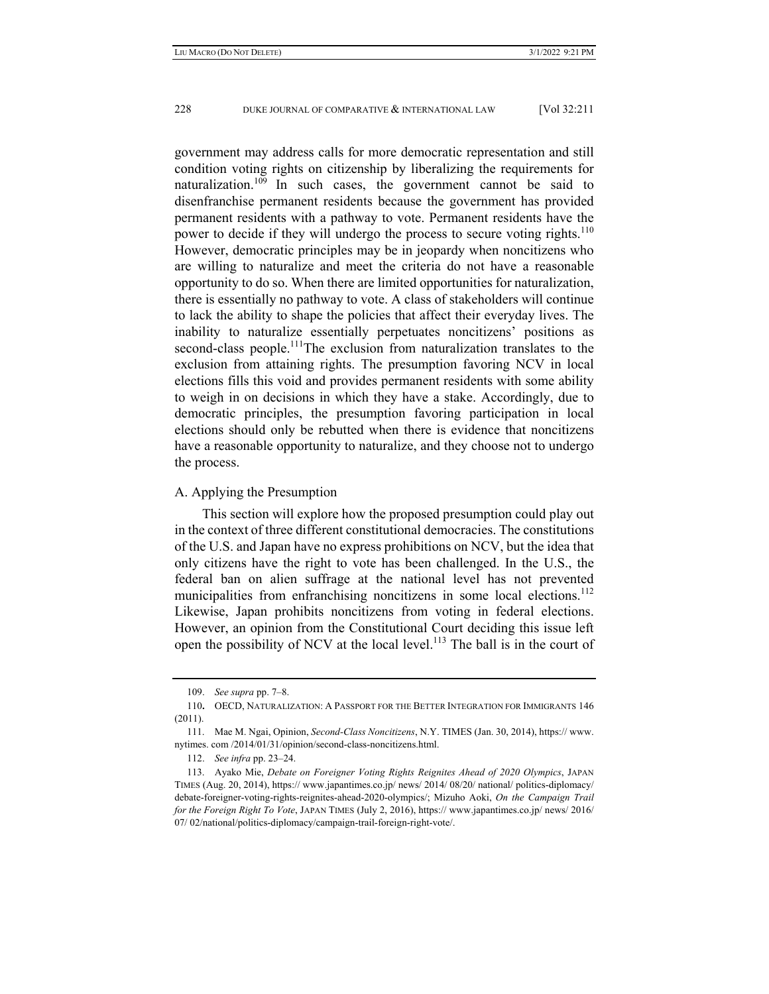government may address calls for more democratic representation and still condition voting rights on citizenship by liberalizing the requirements for naturalization.109 In such cases, the government cannot be said to disenfranchise permanent residents because the government has provided permanent residents with a pathway to vote. Permanent residents have the power to decide if they will undergo the process to secure voting rights.<sup>110</sup> However, democratic principles may be in jeopardy when noncitizens who are willing to naturalize and meet the criteria do not have a reasonable opportunity to do so. When there are limited opportunities for naturalization, there is essentially no pathway to vote. A class of stakeholders will continue to lack the ability to shape the policies that affect their everyday lives. The inability to naturalize essentially perpetuates noncitizens' positions as second-class people.<sup>111</sup>The exclusion from naturalization translates to the exclusion from attaining rights. The presumption favoring NCV in local elections fills this void and provides permanent residents with some ability to weigh in on decisions in which they have a stake. Accordingly, due to democratic principles, the presumption favoring participation in local elections should only be rebutted when there is evidence that noncitizens have a reasonable opportunity to naturalize, and they choose not to undergo the process.

### A. Applying the Presumption

This section will explore how the proposed presumption could play out in the context of three different constitutional democracies. The constitutions of the U.S. and Japan have no express prohibitions on NCV, but the idea that only citizens have the right to vote has been challenged. In the U.S., the federal ban on alien suffrage at the national level has not prevented municipalities from enfranchising noncitizens in some local elections.<sup>112</sup> Likewise, Japan prohibits noncitizens from voting in federal elections. However, an opinion from the Constitutional Court deciding this issue left open the possibility of NCV at the local level.<sup>113</sup> The ball is in the court of

 <sup>109.</sup> *See supra* pp. 7–8.

<sup>110</sup>**.** OECD, NATURALIZATION: A PASSPORT FOR THE BETTER INTEGRATION FOR IMMIGRANTS 146 (2011).

 <sup>111.</sup> Mae M. Ngai, Opinion, *Second-Class Noncitizens*, N.Y. TIMES (Jan. 30, 2014), https:// www. nytimes. com /2014/01/31/opinion/second-class-noncitizens.html.

 <sup>112.</sup> *See infra* pp. 23–24.

 <sup>113.</sup> Ayako Mie, *Debate on Foreigner Voting Rights Reignites Ahead of 2020 Olympics*, JAPAN TIMES (Aug. 20, 2014), https:// www.japantimes.co.jp/ news/ 2014/ 08/20/ national/ politics-diplomacy/ debate-foreigner-voting-rights-reignites-ahead-2020-olympics/; Mizuho Aoki, *On the Campaign Trail for the Foreign Right To Vote*, JAPAN TIMES (July 2, 2016), https:// www.japantimes.co.jp/ news/ 2016/ 07/ 02/national/politics-diplomacy/campaign-trail-foreign-right-vote/.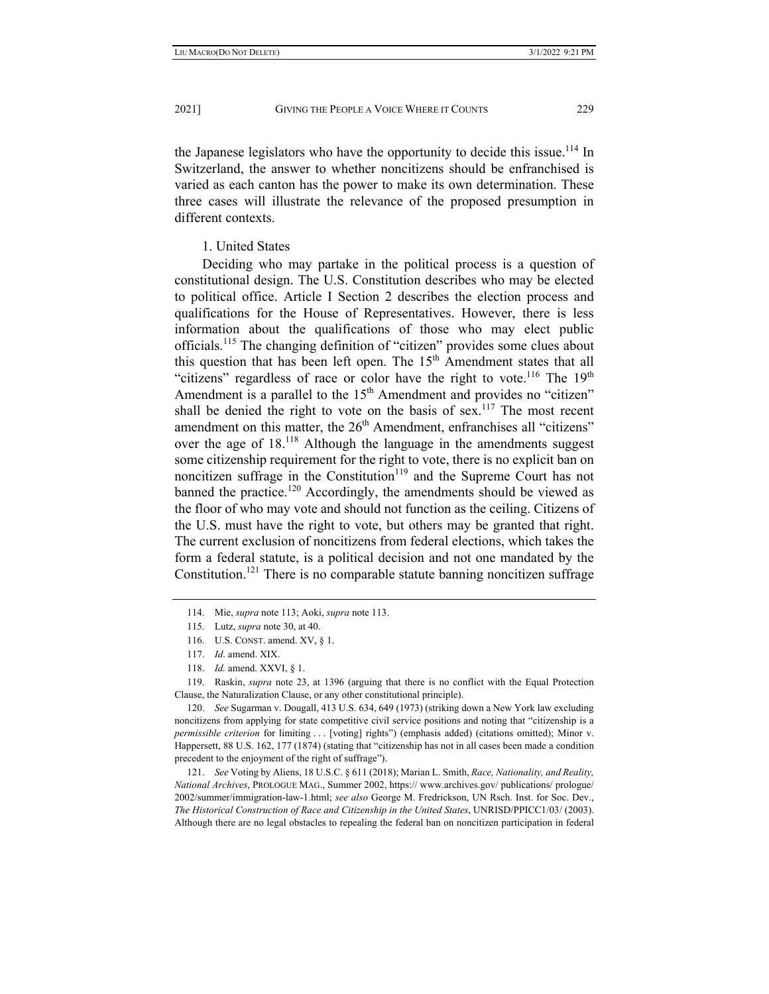the Japanese legislators who have the opportunity to decide this issue.<sup>114</sup> In Switzerland, the answer to whether noncitizens should be enfranchised is varied as each canton has the power to make its own determination. These three cases will illustrate the relevance of the proposed presumption in different contexts.

# 1. United States

Deciding who may partake in the political process is a question of constitutional design. The U.S. Constitution describes who may be elected to political office. Article I Section 2 describes the election process and qualifications for the House of Representatives. However, there is less information about the qualifications of those who may elect public officials.115 The changing definition of "citizen" provides some clues about this question that has been left open. The  $15<sup>th</sup>$  Amendment states that all "citizens" regardless of race or color have the right to vote.<sup>116</sup> The 19<sup>th</sup> Amendment is a parallel to the 15<sup>th</sup> Amendment and provides no "citizen" shall be denied the right to vote on the basis of sex.<sup>117</sup> The most recent amendment on this matter, the  $26<sup>th</sup>$  Amendment, enfranchises all "citizens" over the age of 18.118 Although the language in the amendments suggest some citizenship requirement for the right to vote, there is no explicit ban on noncitizen suffrage in the Constitution<sup>119</sup> and the Supreme Court has not banned the practice.<sup>120</sup> Accordingly, the amendments should be viewed as the floor of who may vote and should not function as the ceiling. Citizens of the U.S. must have the right to vote, but others may be granted that right. The current exclusion of noncitizens from federal elections, which takes the form a federal statute, is a political decision and not one mandated by the Constitution.<sup>121</sup> There is no comparable statute banning noncitizen suffrage

 119. Raskin, *supra* note 23, at 1396 (arguing that there is no conflict with the Equal Protection Clause, the Naturalization Clause, or any other constitutional principle).

 120. *See* Sugarman v. Dougall, 413 U.S. 634, 649 (1973) (striking down a New York law excluding noncitizens from applying for state competitive civil service positions and noting that "citizenship is a *permissible criterion* for limiting . . . [voting] rights") (emphasis added) (citations omitted); Minor v. Happersett, 88 U.S. 162, 177 (1874) (stating that "citizenship has not in all cases been made a condition precedent to the enjoyment of the right of suffrage").

 121. *See* Voting by Aliens, 18 U.S.C. § 611 (2018); Marian L. Smith, *Race, Nationality, and Reality, National Archives*, PROLOGUE MAG., Summer 2002, https:// www.archives.gov/ publications/ prologue/ 2002/summer/immigration-law-1.html; *see also* George M. Fredrickson, UN Rsch. Inst. for Soc. Dev., *The Historical Construction of Race and Citizenship in the United States*, UNRISD/PPICC1/03/ (2003). Although there are no legal obstacles to repealing the federal ban on noncitizen participation in federal

 <sup>114.</sup> Mie, *supra* note 113; Aoki, *supra* note 113.

 <sup>115.</sup> Lutz, *supra* note 30, at 40.

 <sup>116.</sup> U.S. CONST. amend. XV, § 1.

 <sup>117.</sup> *Id*. amend. XIX.

 <sup>118.</sup> *Id.* amend. XXVI, § 1.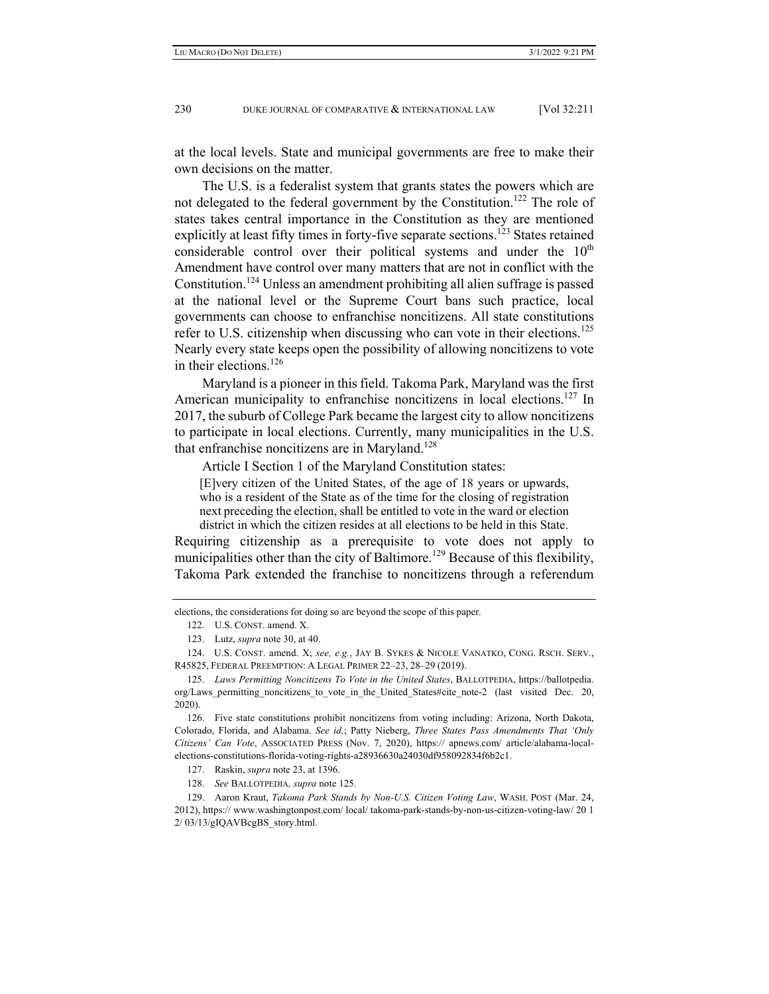at the local levels. State and municipal governments are free to make their own decisions on the matter.

The U.S. is a federalist system that grants states the powers which are not delegated to the federal government by the Constitution.<sup>122</sup> The role of states takes central importance in the Constitution as they are mentioned explicitly at least fifty times in forty-five separate sections.<sup>123</sup> States retained considerable control over their political systems and under the  $10<sup>th</sup>$ Amendment have control over many matters that are not in conflict with the Constitution.124 Unless an amendment prohibiting all alien suffrage is passed at the national level or the Supreme Court bans such practice, local governments can choose to enfranchise noncitizens. All state constitutions refer to U.S. citizenship when discussing who can vote in their elections.<sup>125</sup> Nearly every state keeps open the possibility of allowing noncitizens to vote in their elections.<sup>126</sup>

Maryland is a pioneer in this field. Takoma Park, Maryland was the first American municipality to enfranchise noncitizens in local elections.<sup>127</sup> In 2017, the suburb of College Park became the largest city to allow noncitizens to participate in local elections. Currently, many municipalities in the U.S. that enfranchise noncitizens are in Maryland.<sup>128</sup>

Article I Section 1 of the Maryland Constitution states:

[E]very citizen of the United States, of the age of 18 years or upwards, who is a resident of the State as of the time for the closing of registration next preceding the election, shall be entitled to vote in the ward or election district in which the citizen resides at all elections to be held in this State.

Requiring citizenship as a prerequisite to vote does not apply to municipalities other than the city of Baltimore.<sup>129</sup> Because of this flexibility, Takoma Park extended the franchise to noncitizens through a referendum

elections, the considerations for doing so are beyond the scope of this paper.

 <sup>122.</sup> U.S. CONST. amend. X.

 <sup>123.</sup> Lutz, *supra* note 30, at 40.

 <sup>124.</sup> U.S. CONST. amend. X; *see, e.g.*, JAY B. SYKES & NICOLE VANATKO, CONG. RSCH. SERV., R45825, FEDERAL PREEMPTION: A LEGAL PRIMER 22–23, 28–29 (2019).

 <sup>125.</sup> *Laws Permitting Noncitizens To Vote in the United States*, BALLOTPEDIA, https://ballotpedia. org/Laws\_permitting\_noncitizens\_to\_vote\_in\_the\_United\_States#cite\_note-2 (last visited Dec. 20, 2020).

 <sup>126.</sup> Five state constitutions prohibit noncitizens from voting including: Arizona, North Dakota, Colorado, Florida, and Alabama. *See id.*; Patty Nieberg, *Three States Pass Amendments That 'Only Citizens' Can Vote*, ASSOCIATED PRESS (Nov. 7, 2020), https:// apnews.com/ article/alabama-localelections-constitutions-florida-voting-rights-a28936630a24030df958092834f6b2c1.

 <sup>127.</sup> Raskin, *supra* note 23, at 1396.

 <sup>128.</sup> *See* BALLOTPEDIA*, supra* note 125.

 <sup>129.</sup> Aaron Kraut, *Takoma Park Stands by Non-U.S. Citizen Voting Law*, WASH. POST (Mar. 24, 2012), https:// www.washingtonpost.com/ local/ takoma-park-stands-by-non-us-citizen-voting-law/ 20 1 2/ 03/13/gIQAVBcgBS\_story.html.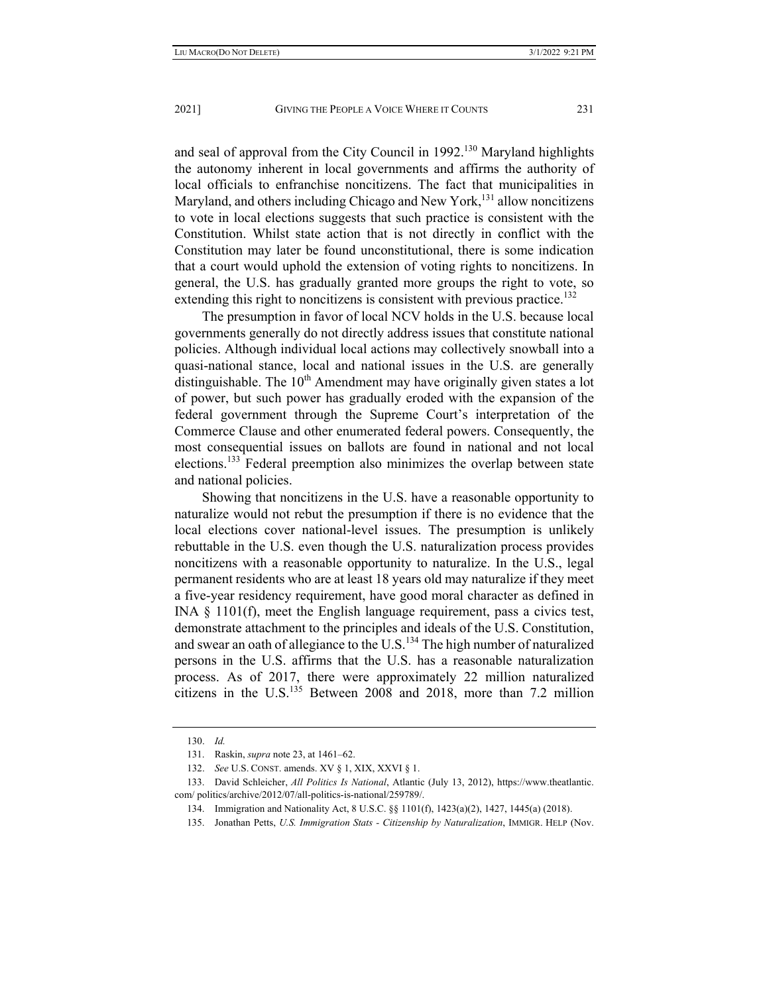and seal of approval from the City Council in  $1992$ <sup>130</sup> Maryland highlights the autonomy inherent in local governments and affirms the authority of local officials to enfranchise noncitizens. The fact that municipalities in Maryland, and others including Chicago and New York,<sup>131</sup> allow noncitizens to vote in local elections suggests that such practice is consistent with the Constitution. Whilst state action that is not directly in conflict with the Constitution may later be found unconstitutional, there is some indication that a court would uphold the extension of voting rights to noncitizens. In general, the U.S. has gradually granted more groups the right to vote, so extending this right to noncitizens is consistent with previous practice.<sup>132</sup>

The presumption in favor of local NCV holds in the U.S. because local governments generally do not directly address issues that constitute national policies. Although individual local actions may collectively snowball into a quasi-national stance, local and national issues in the U.S. are generally distinguishable. The  $10<sup>th</sup>$  Amendment may have originally given states a lot of power, but such power has gradually eroded with the expansion of the federal government through the Supreme Court's interpretation of the Commerce Clause and other enumerated federal powers. Consequently, the most consequential issues on ballots are found in national and not local elections.133 Federal preemption also minimizes the overlap between state and national policies.

Showing that noncitizens in the U.S. have a reasonable opportunity to naturalize would not rebut the presumption if there is no evidence that the local elections cover national-level issues. The presumption is unlikely rebuttable in the U.S. even though the U.S. naturalization process provides noncitizens with a reasonable opportunity to naturalize. In the U.S., legal permanent residents who are at least 18 years old may naturalize if they meet a five-year residency requirement, have good moral character as defined in INA § 1101(f), meet the English language requirement, pass a civics test, demonstrate attachment to the principles and ideals of the U.S. Constitution, and swear an oath of allegiance to the U.S.<sup>134</sup> The high number of naturalized persons in the U.S. affirms that the U.S. has a reasonable naturalization process. As of 2017, there were approximately 22 million naturalized citizens in the U.S.<sup>135</sup> Between  $2008$  and  $2018$ , more than 7.2 million

 <sup>130.</sup> *Id.*

 <sup>131.</sup> Raskin, *supra* note 23, at 1461–62.

 <sup>132.</sup> *See* U.S. CONST. amends. XV § 1, XIX, XXVI § 1.

 <sup>133.</sup> David Schleicher, *All Politics Is National*, Atlantic (July 13, 2012), https://www.theatlantic. com/ politics/archive/2012/07/all-politics-is-national/259789/.

 <sup>134.</sup> Immigration and Nationality Act, 8 U.S.C. §§ 1101(f), 1423(a)(2), 1427, 1445(a) (2018).

 <sup>135.</sup> Jonathan Petts, *U.S. Immigration Stats - Citizenship by Naturalization*, IMMIGR. HELP (Nov.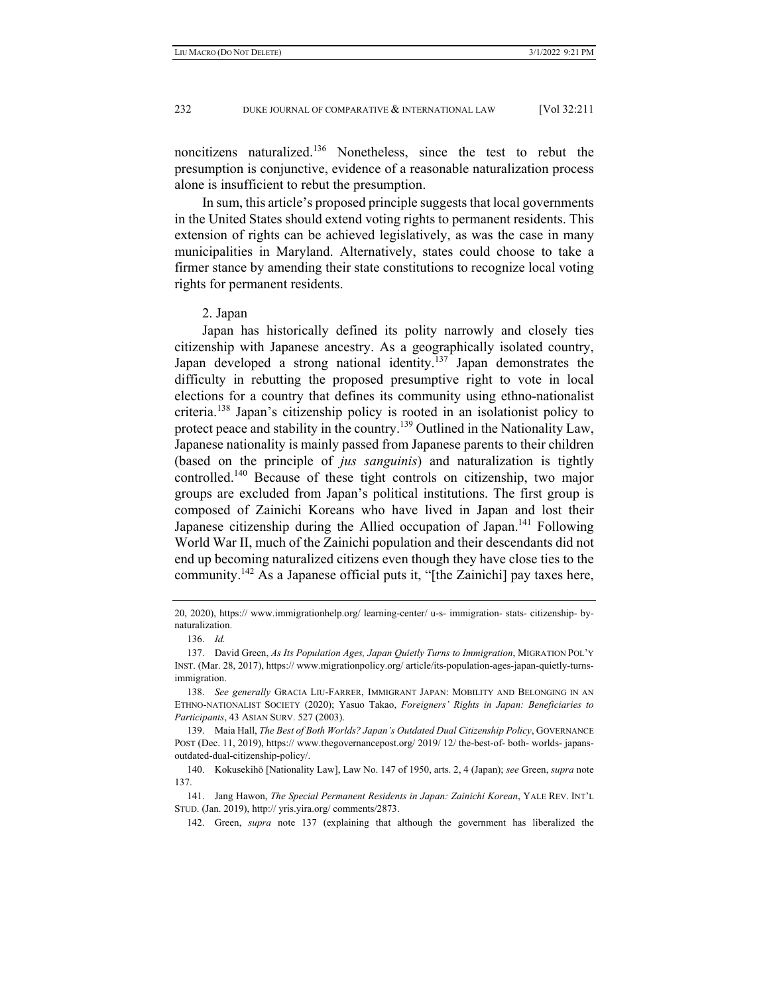noncitizens naturalized.136 Nonetheless, since the test to rebut the presumption is conjunctive, evidence of a reasonable naturalization process alone is insufficient to rebut the presumption.

In sum, this article's proposed principle suggests that local governments in the United States should extend voting rights to permanent residents. This extension of rights can be achieved legislatively, as was the case in many municipalities in Maryland. Alternatively, states could choose to take a firmer stance by amending their state constitutions to recognize local voting rights for permanent residents.

#### 2. Japan

Japan has historically defined its polity narrowly and closely ties citizenship with Japanese ancestry. As a geographically isolated country, Japan developed a strong national identity.<sup>137</sup> Japan demonstrates the difficulty in rebutting the proposed presumptive right to vote in local elections for a country that defines its community using ethno-nationalist criteria.138 Japan's citizenship policy is rooted in an isolationist policy to protect peace and stability in the country.<sup>139</sup> Outlined in the Nationality Law, Japanese nationality is mainly passed from Japanese parents to their children (based on the principle of *jus sanguinis*) and naturalization is tightly controlled.<sup>140</sup> Because of these tight controls on citizenship, two major groups are excluded from Japan's political institutions. The first group is composed of Zainichi Koreans who have lived in Japan and lost their Japanese citizenship during the Allied occupation of Japan.<sup>141</sup> Following World War II, much of the Zainichi population and their descendants did not end up becoming naturalized citizens even though they have close ties to the community.<sup>142</sup> As a Japanese official puts it, "[the Zainichi] pay taxes here,

<sup>20, 2020),</sup> https:// www.immigrationhelp.org/ learning-center/ u-s- immigration- stats- citizenship- bynaturalization.

 <sup>136.</sup> *Id.*

 <sup>137.</sup> David Green, *As Its Population Ages, Japan Quietly Turns to Immigration*, MIGRATION POL'Y INST. (Mar. 28, 2017), https:// www.migrationpolicy.org/ article/its-population-ages-japan-quietly-turnsimmigration.

 <sup>138.</sup> *See generally* GRACIA LIU-FARRER, IMMIGRANT JAPAN: MOBILITY AND BELONGING IN AN ETHNO-NATIONALIST SOCIETY (2020); Yasuo Takao, *Foreigners' Rights in Japan: Beneficiaries to Participants*, 43 ASIAN SURV. 527 (2003).

 <sup>139.</sup> Maia Hall, *The Best of Both Worlds? Japan's Outdated Dual Citizenship Policy*, GOVERNANCE POST (Dec. 11, 2019), https:// www.thegovernancepost.org/ 2019/ 12/ the-best-of- both- worlds- japansoutdated-dual-citizenship-policy/.

 <sup>140.</sup> Kokusekihō [Nationality Law], Law No. 147 of 1950, arts. 2, 4 (Japan); *see* Green, *supra* note 137.

 <sup>141.</sup> Jang Hawon, *The Special Permanent Residents in Japan: Zainichi Korean*, YALE REV. INT'L STUD. (Jan. 2019), http:// yris.yira.org/ comments/2873.

 <sup>142.</sup> Green, *supra* note 137 (explaining that although the government has liberalized the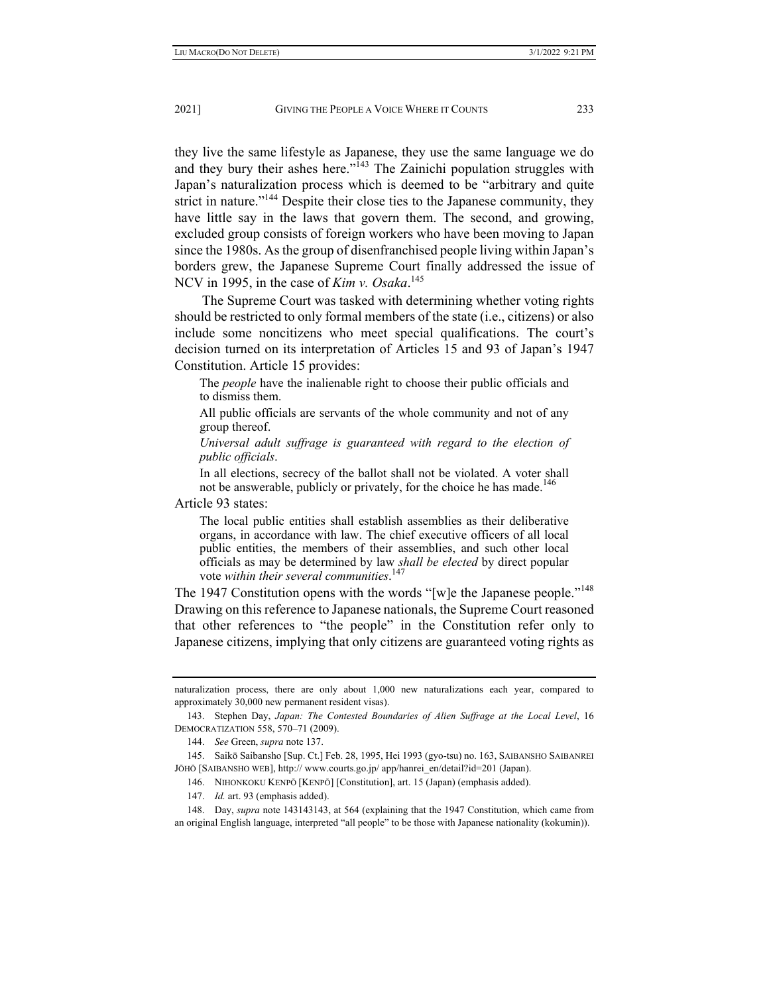they live the same lifestyle as Japanese, they use the same language we do and they bury their ashes here."<sup>143</sup> The Zainichi population struggles with Japan's naturalization process which is deemed to be "arbitrary and quite strict in nature."<sup>144</sup> Despite their close ties to the Japanese community, they have little say in the laws that govern them. The second, and growing, excluded group consists of foreign workers who have been moving to Japan since the 1980s. As the group of disenfranchised people living within Japan's borders grew, the Japanese Supreme Court finally addressed the issue of NCV in 1995, in the case of *Kim v. Osaka*. 145

The Supreme Court was tasked with determining whether voting rights should be restricted to only formal members of the state (i.e., citizens) or also include some noncitizens who meet special qualifications. The court's decision turned on its interpretation of Articles 15 and 93 of Japan's 1947 Constitution. Article 15 provides:

The *people* have the inalienable right to choose their public officials and to dismiss them.

All public officials are servants of the whole community and not of any group thereof.

*Universal adult suffrage is guaranteed with regard to the election of public officials*.

In all elections, secrecy of the ballot shall not be violated. A voter shall not be answerable, publicly or privately, for the choice he has made.<sup>146</sup>

Article 93 states:

The local public entities shall establish assemblies as their deliberative organs, in accordance with law. The chief executive officers of all local public entities, the members of their assemblies, and such other local officials as may be determined by law *shall be elected* by direct popular vote *within their several communities*. 147

The 1947 Constitution opens with the words "[w]e the Japanese people."<sup>148</sup> Drawing on this reference to Japanese nationals, the Supreme Court reasoned that other references to "the people" in the Constitution refer only to Japanese citizens, implying that only citizens are guaranteed voting rights as

147. *Id.* art. 93 (emphasis added).

 148. Day, *supra* note 143143143, at 564 (explaining that the 1947 Constitution, which came from an original English language, interpreted "all people" to be those with Japanese nationality (kokumin)).

naturalization process, there are only about 1,000 new naturalizations each year, compared to approximately 30,000 new permanent resident visas).

 <sup>143.</sup> Stephen Day, *Japan: The Contested Boundaries of Alien Suffrage at the Local Level*, 16 DEMOCRATIZATION 558, 570–71 (2009).

 <sup>144.</sup> *See* Green, *supra* note 137.

 <sup>145.</sup> Saikō Saibansho [Sup. Ct.] Feb. 28, 1995, Hei 1993 (gyo-tsu) no. 163, SAIBANSHO SAIBANREI JŌHŌ [SAIBANSHO WEB], http:// www.courts.go.jp/ app/hanrei\_en/detail?id=201 (Japan).

 <sup>146.</sup> NIHONKOKU KENPŌ [KENPŌ] [Constitution], art. 15 (Japan) (emphasis added).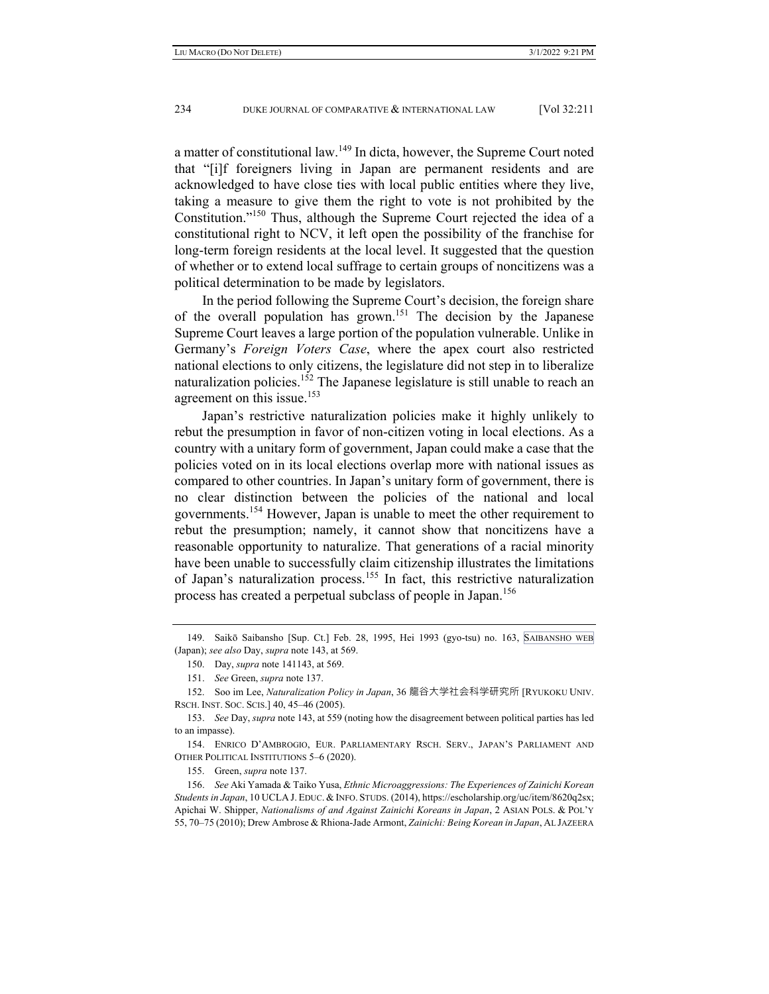a matter of constitutional law.149 In dicta, however, the Supreme Court noted that "[i]f foreigners living in Japan are permanent residents and are acknowledged to have close ties with local public entities where they live, taking a measure to give them the right to vote is not prohibited by the Constitution."150 Thus, although the Supreme Court rejected the idea of a constitutional right to NCV, it left open the possibility of the franchise for long-term foreign residents at the local level. It suggested that the question of whether or to extend local suffrage to certain groups of noncitizens was a political determination to be made by legislators.

In the period following the Supreme Court's decision, the foreign share of the overall population has grown.151 The decision by the Japanese Supreme Court leaves a large portion of the population vulnerable. Unlike in Germany's *Foreign Voters Case*, where the apex court also restricted national elections to only citizens, the legislature did not step in to liberalize naturalization policies.<sup>152</sup> The Japanese legislature is still unable to reach an agreement on this issue.<sup>153</sup>

Japan's restrictive naturalization policies make it highly unlikely to rebut the presumption in favor of non-citizen voting in local elections. As a country with a unitary form of government, Japan could make a case that the policies voted on in its local elections overlap more with national issues as compared to other countries. In Japan's unitary form of government, there is no clear distinction between the policies of the national and local governments.154 However, Japan is unable to meet the other requirement to rebut the presumption; namely, it cannot show that noncitizens have a reasonable opportunity to naturalize. That generations of a racial minority have been unable to successfully claim citizenship illustrates the limitations of Japan's naturalization process.<sup>155</sup> In fact, this restrictive naturalization process has created a perpetual subclass of people in Japan.<sup>156</sup>

 <sup>149.</sup> Saikō Saibansho [Sup. Ct.] Feb. 28, 1995, Hei 1993 (gyo-tsu) no. 163, SAIBANSHO WEB (Japan); *see also* Day, *supra* note 143, at 569.

 <sup>150.</sup> Day, *supra* note 141143, at 569.

 <sup>151.</sup> *See* Green, *supra* note 137.

 <sup>152.</sup> Soo im Lee, *Naturalization Policy in Japan*, 36 龍谷大学社会科学研究所 [RYUKOKU UNIV. RSCH. INST. SOC. SCIS.] 40, 45–46 (2005).

 <sup>153.</sup> *See* Day, *supra* note 143, at 559 (noting how the disagreement between political parties has led to an impasse).

 <sup>154.</sup> ENRICO D'AMBROGIO, EUR. PARLIAMENTARY RSCH. SERV., JAPAN'S PARLIAMENT AND OTHER POLITICAL INSTITUTIONS 5–6 (2020).

 <sup>155.</sup> Green, *supra* note 137.

 <sup>156.</sup> *See* Aki Yamada & Taiko Yusa, *Ethnic Microaggressions: The Experiences of Zainichi Korean Students in Japan*, 10 UCLA J. EDUC. & INFO. STUDS. (2014), https://escholarship.org/uc/item/8620q2sx; Apichai W. Shipper, *Nationalisms of and Against Zainichi Koreans in Japan*, 2 ASIAN POLS. & POL'Y 55, 70–75 (2010); Drew Ambrose & Rhiona-Jade Armont, *Zainichi: Being Korean in Japan*, AL JAZEERA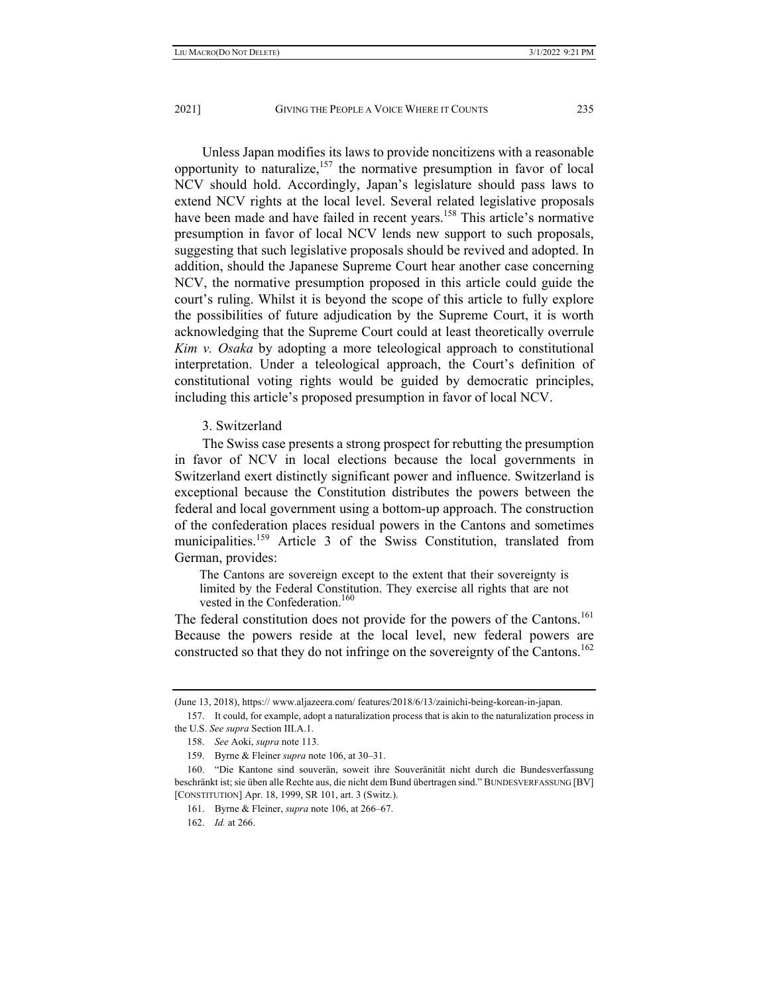Unless Japan modifies its laws to provide noncitizens with a reasonable opportunity to naturalize,  $157$  the normative presumption in favor of local NCV should hold. Accordingly, Japan's legislature should pass laws to extend NCV rights at the local level. Several related legislative proposals have been made and have failed in recent years.<sup>158</sup> This article's normative presumption in favor of local NCV lends new support to such proposals, suggesting that such legislative proposals should be revived and adopted. In addition, should the Japanese Supreme Court hear another case concerning NCV, the normative presumption proposed in this article could guide the court's ruling. Whilst it is beyond the scope of this article to fully explore the possibilities of future adjudication by the Supreme Court, it is worth acknowledging that the Supreme Court could at least theoretically overrule *Kim v. Osaka* by adopting a more teleological approach to constitutional interpretation. Under a teleological approach, the Court's definition of constitutional voting rights would be guided by democratic principles, including this article's proposed presumption in favor of local NCV.

### 3. Switzerland

The Swiss case presents a strong prospect for rebutting the presumption in favor of NCV in local elections because the local governments in Switzerland exert distinctly significant power and influence. Switzerland is exceptional because the Constitution distributes the powers between the federal and local government using a bottom-up approach. The construction of the confederation places residual powers in the Cantons and sometimes municipalities.<sup>159</sup> Article 3 of the Swiss Constitution, translated from German, provides:

The Cantons are sovereign except to the extent that their sovereignty is limited by the Federal Constitution. They exercise all rights that are not vested in the Confederation.<sup>160</sup>

The federal constitution does not provide for the powers of the Cantons.<sup>161</sup> Because the powers reside at the local level, new federal powers are constructed so that they do not infringe on the sovereignty of the Cantons.<sup>162</sup>

<sup>(</sup>June 13, 2018), https:// www.aljazeera.com/ features/2018/6/13/zainichi-being-korean-in-japan.

 <sup>157.</sup> It could, for example, adopt a naturalization process that is akin to the naturalization process in the U.S. *See supra* Section III.A.1.

 <sup>158.</sup> *See* Aoki, *supra* note 113.

 <sup>159.</sup> Byrne & Fleiner *supra* note 106, at 30–31.

 <sup>160. &</sup>quot;Die Kantone sind souverän, soweit ihre Souveränität nicht durch die Bundesverfassung beschränkt ist; sie üben alle Rechte aus, die nicht dem Bund übertragen sind." BUNDESVERFASSUNG [BV] [CONSTITUTION] Apr. 18, 1999, SR 101, art. 3 (Switz.).

 <sup>161.</sup> Byrne & Fleiner, *supra* note 106, at 266–67.

 <sup>162.</sup> *Id.* at 266.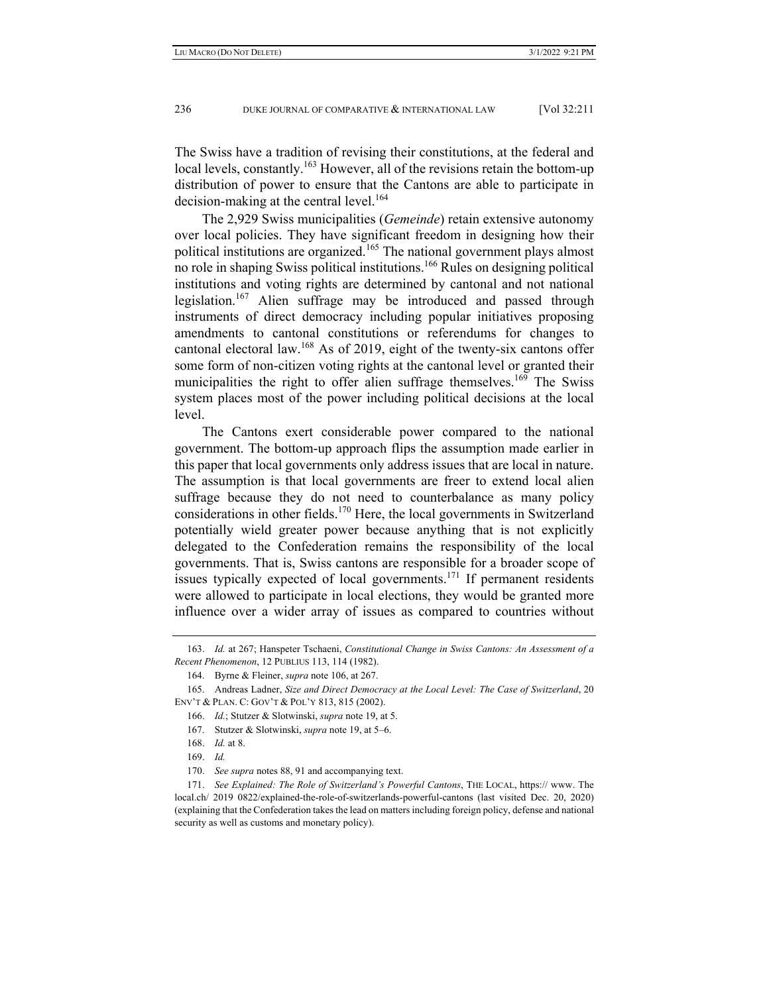The Swiss have a tradition of revising their constitutions, at the federal and local levels, constantly.<sup>163</sup> However, all of the revisions retain the bottom-up distribution of power to ensure that the Cantons are able to participate in decision-making at the central level.<sup>164</sup>

The 2,929 Swiss municipalities (*Gemeinde*) retain extensive autonomy over local policies. They have significant freedom in designing how their political institutions are organized.165 The national government plays almost no role in shaping Swiss political institutions.166 Rules on designing political institutions and voting rights are determined by cantonal and not national legislation.<sup>167</sup> Alien suffrage may be introduced and passed through instruments of direct democracy including popular initiatives proposing amendments to cantonal constitutions or referendums for changes to cantonal electoral law.<sup>168</sup> As of 2019, eight of the twenty-six cantons offer some form of non-citizen voting rights at the cantonal level or granted their municipalities the right to offer alien suffrage themselves.<sup>169</sup> The Swiss system places most of the power including political decisions at the local level.

The Cantons exert considerable power compared to the national government. The bottom-up approach flips the assumption made earlier in this paper that local governments only address issues that are local in nature. The assumption is that local governments are freer to extend local alien suffrage because they do not need to counterbalance as many policy considerations in other fields.<sup>170</sup> Here, the local governments in Switzerland potentially wield greater power because anything that is not explicitly delegated to the Confederation remains the responsibility of the local governments. That is, Swiss cantons are responsible for a broader scope of issues typically expected of local governments.<sup>171</sup> If permanent residents were allowed to participate in local elections, they would be granted more influence over a wider array of issues as compared to countries without

 <sup>163.</sup> *Id.* at 267; Hanspeter Tschaeni, *Constitutional Change in Swiss Cantons: An Assessment of a Recent Phenomenon*, 12 PUBLIUS 113, 114 (1982).

 <sup>164.</sup> Byrne & Fleiner, *supra* note 106, at 267.

 <sup>165.</sup> Andreas Ladner, *Size and Direct Democracy at the Local Level: The Case of Switzerland*, 20 ENV'T & PLAN. C: GOV'T & POL'Y 813, 815 (2002).

 <sup>166.</sup> *Id.*; Stutzer & Slotwinski, *supra* note 19, at 5.

 <sup>167.</sup> Stutzer & Slotwinski, *supra* note 19, at 5–6.

 <sup>168.</sup> *Id.* at 8.

 <sup>169.</sup> *Id.*

 <sup>170.</sup> *See supra* notes 88, 91 and accompanying text.

 <sup>171.</sup> *See Explained: The Role of Switzerland's Powerful Cantons*, THE LOCAL, https:// www. The local.ch/ 2019 0822/explained-the-role-of-switzerlands-powerful-cantons (last visited Dec. 20, 2020) (explaining that the Confederation takes the lead on matters including foreign policy, defense and national security as well as customs and monetary policy).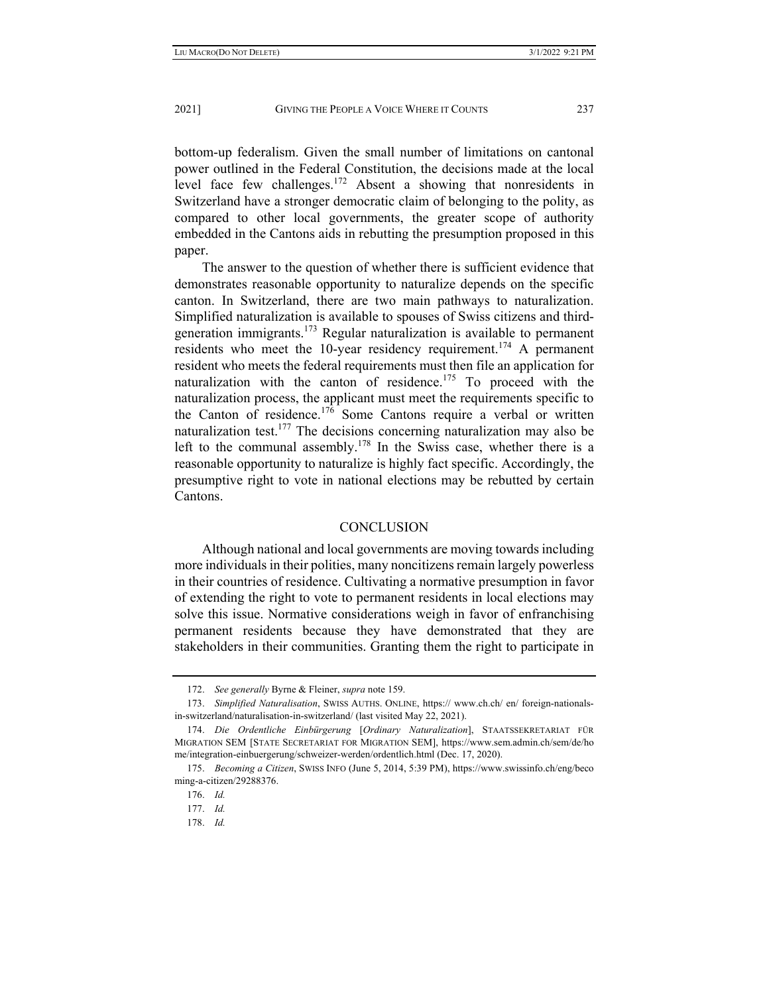bottom-up federalism. Given the small number of limitations on cantonal power outlined in the Federal Constitution, the decisions made at the local level face few challenges.172 Absent a showing that nonresidents in Switzerland have a stronger democratic claim of belonging to the polity, as compared to other local governments, the greater scope of authority embedded in the Cantons aids in rebutting the presumption proposed in this paper.

The answer to the question of whether there is sufficient evidence that demonstrates reasonable opportunity to naturalize depends on the specific canton. In Switzerland, there are two main pathways to naturalization. Simplified naturalization is available to spouses of Swiss citizens and thirdgeneration immigrants.<sup>173</sup> Regular naturalization is available to permanent residents who meet the 10-year residency requirement.<sup>174</sup> A permanent resident who meets the federal requirements must then file an application for naturalization with the canton of residence.<sup>175</sup> To proceed with the naturalization process, the applicant must meet the requirements specific to the Canton of residence.<sup>176</sup> Some Cantons require a verbal or written naturalization test.<sup>177</sup> The decisions concerning naturalization may also be left to the communal assembly.<sup>178</sup> In the Swiss case, whether there is a reasonable opportunity to naturalize is highly fact specific. Accordingly, the presumptive right to vote in national elections may be rebutted by certain Cantons.

# **CONCLUSION**

Although national and local governments are moving towards including more individuals in their polities, many noncitizens remain largely powerless in their countries of residence. Cultivating a normative presumption in favor of extending the right to vote to permanent residents in local elections may solve this issue. Normative considerations weigh in favor of enfranchising permanent residents because they have demonstrated that they are stakeholders in their communities. Granting them the right to participate in

 <sup>172.</sup> *See generally* Byrne & Fleiner, *supra* note 159.

 <sup>173.</sup> *Simplified Naturalisation*, SWISS AUTHS. ONLINE, https:// www.ch.ch/ en/ foreign-nationalsin-switzerland/naturalisation-in-switzerland/ (last visited May 22, 2021).

 <sup>174.</sup> *Die Ordentliche Einbürgerung* [*Ordinary Naturalization*], STAATSSEKRETARIAT FÜR MIGRATION SEM [STATE SECRETARIAT FOR MIGRATION SEM], https://www.sem.admin.ch/sem/de/ho me/integration-einbuergerung/schweizer-werden/ordentlich.html (Dec. 17, 2020).

 <sup>175.</sup> *Becoming a Citizen*, SWISS INFO (June 5, 2014, 5:39 PM), https://www.swissinfo.ch/eng/beco ming-a-citizen/29288376.

 <sup>176.</sup> *Id.*

 <sup>177.</sup> *Id.*

 <sup>178.</sup> *Id.*